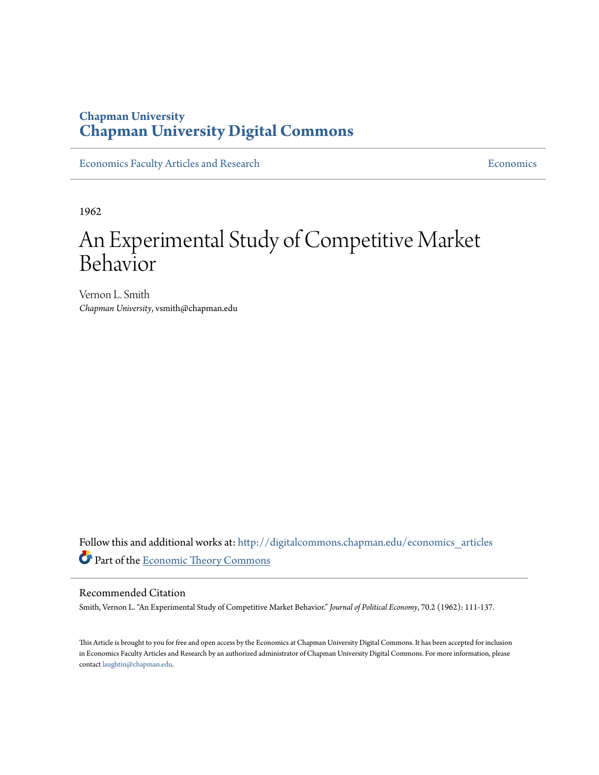## **Chapman University [Chapman University Digital Commons](http://digitalcommons.chapman.edu?utm_source=digitalcommons.chapman.edu%2Feconomics_articles%2F16&utm_medium=PDF&utm_campaign=PDFCoverPages)**

[Economics Faculty Articles and Research](http://digitalcommons.chapman.edu/economics_articles?utm_source=digitalcommons.chapman.edu%2Feconomics_articles%2F16&utm_medium=PDF&utm_campaign=PDFCoverPages) **[Economics](http://digitalcommons.chapman.edu/economics?utm_source=digitalcommons.chapman.edu%2Feconomics_articles%2F16&utm_medium=PDF&utm_campaign=PDFCoverPages)** Economics

1962

# An Experimental Study of Competitive Market Behavior

Vernon L. Smith *Chapman University*, vsmith@chapman.edu

Follow this and additional works at: [http://digitalcommons.chapman.edu/economics\\_articles](http://digitalcommons.chapman.edu/economics_articles?utm_source=digitalcommons.chapman.edu%2Feconomics_articles%2F16&utm_medium=PDF&utm_campaign=PDFCoverPages) Part of the [Economic Theory Commons](http://network.bepress.com/hgg/discipline/344?utm_source=digitalcommons.chapman.edu%2Feconomics_articles%2F16&utm_medium=PDF&utm_campaign=PDFCoverPages)

## Recommended Citation

Smith, Vernon L. "An Experimental Study of Competitive Market Behavior." *Journal of Political Economy*, 70.2 (1962): 111-137.

This Article is brought to you for free and open access by the Economics at Chapman University Digital Commons. It has been accepted for inclusion in Economics Faculty Articles and Research by an authorized administrator of Chapman University Digital Commons. For more information, please contact [laughtin@chapman.edu](mailto:laughtin@chapman.edu).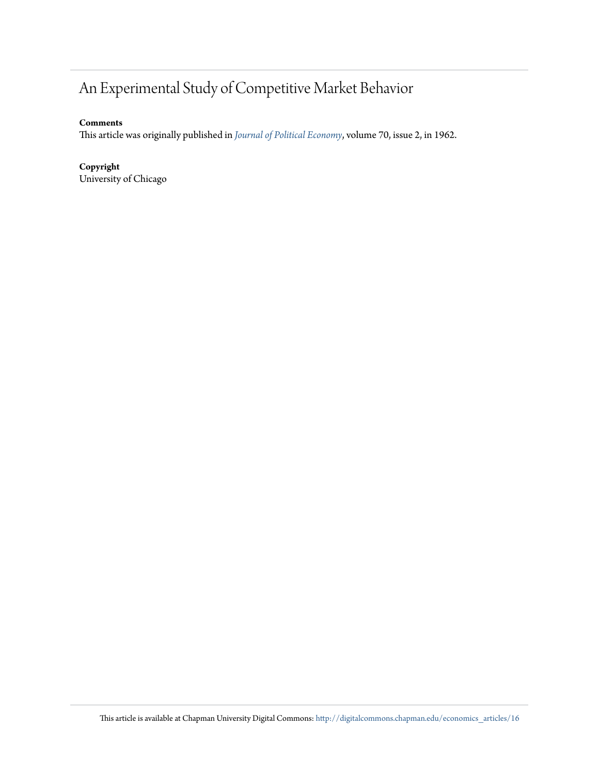## An Experimental Study of Competitive Market Behavior

## **Comments**

This article was originally published in *[Journal of Political Economy](http://www.press.uchicago.edu/ucp/journals/journal/jpe.html)*, volume 70, issue 2, in 1962.

## **Copyright**

University of Chicago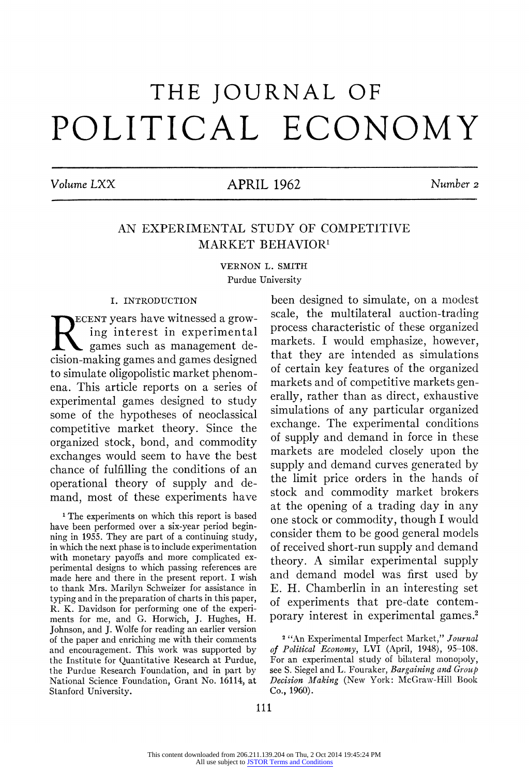# **THE JOURNAL OF POLITICAL ECONOMY**

## **Volume LXX APRIL 1962 Number <sup>2</sup>**

## **AN EXPERIMENTAL STUDY OF COMPETITIVE MARKET BEHAVIOR'**

**VERNON L. SMITH Purdue University** 

**I. INTRODUCTION** 

**RECENT years have witnessed a growing interest in experimental games such as management decision-making games and games designed to simulate oligopolistic market phenomena. This article reports on a series of experimental games designed to study some of the hypotheses of neoclassical competitive market theory. Since the organized stock, bond, and commodity exchanges would seem to have the best chance of fulfilling the conditions of an operational theory of supply and demand, most of these experiments have** 

**<sup>I</sup>The experiments on which this report is based have been performed over a six-year period beginning in 1955. They are part of a continuing study, in which the next phase is to include experimentation with monetary payoffs and more complicated experimental designs to which passing references are made here and there in the present report. I wish to thank Mrs. Marilyn Schweizer for assistance in typing and in the preparation of charts in this paper, R. K. Davidson for performing one of the experiments for me, and G. Horwich, J. Hughes, H. Johnson, and J. Wolfe for reading an earlier version of the paper and enriching me with their comments and encouragement. This work was supported by the Institute for Quantitative Research at Purdue, the Purdue Research Foundation, and in part by National Science Foundation, Grant No. 16114, at Stanford University.** 

**been designed to simulate, on a modest scale, the multilateral auction-trading process characteristic of these organized markets. I would emphasize, however, that they are intended as simulations of certain key features of the organized markets and of competitive markets generally, rather than as direct, exhaustive simulations of any particular organized exchange. The experimental conditions of supply and demand in force in these markets are modeled closely upon the supply and demand curves generated by the limit price orders in the hands of stock and commodity market brokers at the opening of a trading day in any one stock or commodity, though I would consider them to be good general models of received short-run supply and demand theory. A similar experimental supply and demand model was first used by E. H. Chamberlin in an interesting set of experiments that pre-date contemporary interest in experimental games.2** 

**<sup>2</sup>"An Experimental Imperfect Market," Journal of Political Economy, LVI (April, 1948), 95-108. For an experimental study of bilateral monopoly,**  see S. Siegel and L. Fouraker, Bargaining and Group Decision Making (New York: McGraw-Hill Book **Co., 1960).**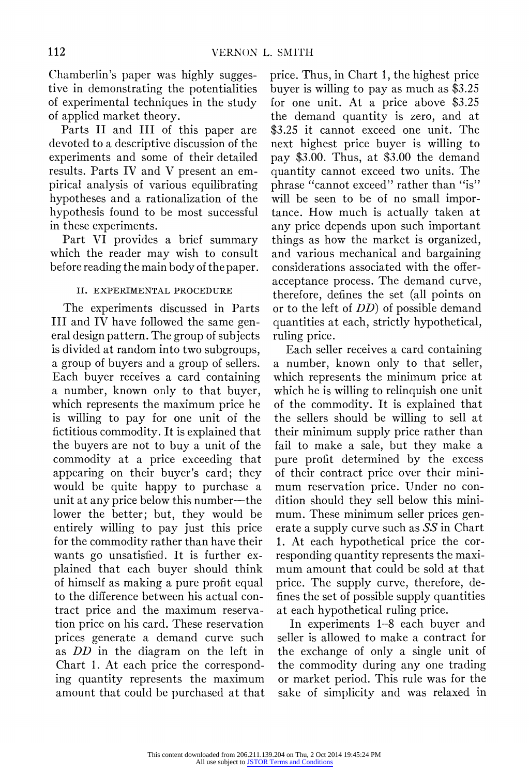**Chamberlin's paper was highly suggestive in demonstrating the potentialities of experimental techniques in the study of applied market theory.** 

**Parts II and III of this paper are devoted to a descriptive discussion of the experiments and some of their detailed results. Parts IV and V present an empirical analysis of various equilibrating hypotheses and a rationalization of the hypothesis found to be most successful in these experiments.** 

**Part VI provides a brief summary which the reader may wish to consult before reading the main body of the paper.** 

#### **II. EXPERIMENTAL PROCEDURE**

**The experiments discussed in Parts III and IV have followed the same general design pattern. The group of subjects is divided at random into two subgroups, a group of buyers and a group of sellers. Each buyer receives a card containing a number, known only to that buyer, which represents the maximum price he is willing to pay for one unit of the fictitious commodity. It is explained that the buyers are not to buy a unit of the commodity at a price exceeding that appearing on their buyer's card; they would be quite happy to purchase a unit at any price below this number-the lower the better; but, they would be entirely willing to pay just this price for the commodity rather than have their wants go unsatisfied. It is further explained that each buyer should think of himself as making a pure profit equal to the difference between his actual contract price and the maximum reservation price on his card. These reservation prices generate a demand curve such as DD in the diagram on the left in Chart 1. At each price the corresponding quantity represents the maximum amount that could be purchased at that** 

**price. Thus, in Chart 1, the highest price buyer is willing to pay as much as \$3.25 for one unit. At a price above \$3.25 the demand quantity is zero, and at \$3.25 it cannot exceed one unit. The next highest price buyer is willing to pay \$3.00. Thus, at \$3.00 the demand quantity cannot exceed two units. The phrase "cannot exceed" rather than "is" will be seen to be of no small importance. How much is actually taken at any price depends upon such important things as how the market is organized, and various mechanical and bargaining considerations associated with the offeracceptance process. The demand curve, therefore, defines the set (all points on or to the left of DD) of possible demand quantities at each, strictly hypothetical, ruling price.** 

**Each seller receives a card containing a number, known only to that seller, which represents the minimum price at which he is willing to relinquish one unit of the commodity. It is explained that the sellers should be willing to sell at their minimum supply price rather than fail to make a sale, but they make a pure profit determined by the excess of their contract price over their minimum reservation price. Under no condition should they sell below this minimum. These minimum seller prices generate a supply curve such as SS in Chart 1. At each hypothetical price the corresponding quantity represents the maximum amount that could be sold at that price. The supply curve, therefore, defines the set of possible supply quantities at each hypothetical ruling price.** 

**In experiments 1-8 each buyer and seller is allowed to make a contract for the exchange of only a single unit of the commodity during any one trading or market period. This rule was for the sake of simplicity and was relaxed in**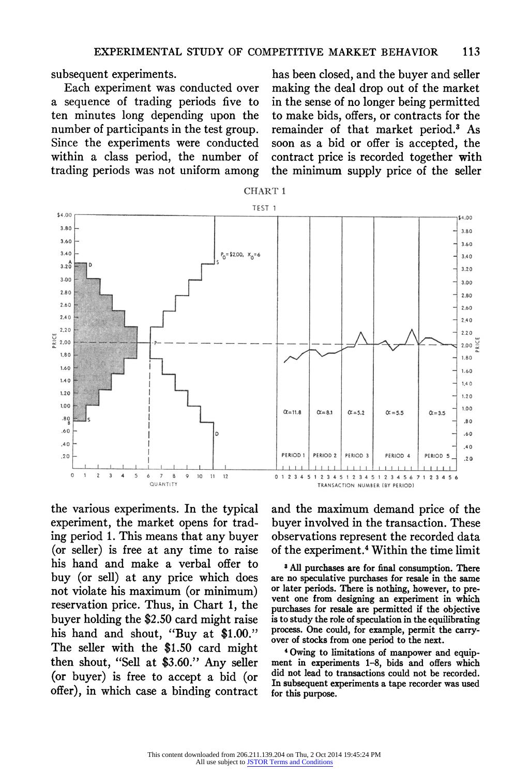subsequent experiments.

Each experiment was conducted over a sequence of trading periods five to ten minutes long depending upon the number of participants in the test group. Since the experiments were conducted within a class period, the number of trading periods was not uniform among

has been closed, and the buyer and seller making the deal drop out of the market in the sense of no longer being permitted to make bids, offers, or contracts for the remainder of that market period.<sup>3</sup> As soon as a bid or offer is accepted, the contract price is recorded together with the minimum supply price of the seller



the various experiments. In the typical experiment, the market opens for trading period 1. This means that any buyer (or seller) is free at any time to raise his hand and make a verbal offer to buy (or sell) at any price which does not violate his maximum (or minimum) reservation price. Thus, in Chart 1, the buyer holding the \$2.50 card might raise his hand and shout, "Buy at \$1.00." The seller with the \$1.50 card might then shout, "Sell at \$3.60." Any seller (or buyer) is free to accept a bid (or offer), in which case a binding contract and the maximum demand price of the buyer involved in the transaction. These observations represent the recorded data of the experiment.<sup>4</sup> Within the time limit

<sup>3</sup> All purchases are for final consumption. There are no speculative purchases for resale in the same or later periods. There is nothing, however, to prevent one from designing an experiment in which purchases for resale are permitted if the objective is to study the role of speculation in the equilibrating process. One could, for example, permit the carryover of stocks from one period to the next.

<sup>4</sup> Owing to limitations of manpower and equipment in experiments 1-8, bids and offers which did not lead to transactions could not be recorded. In subsequent experiments a tape recorder was used for this purpose.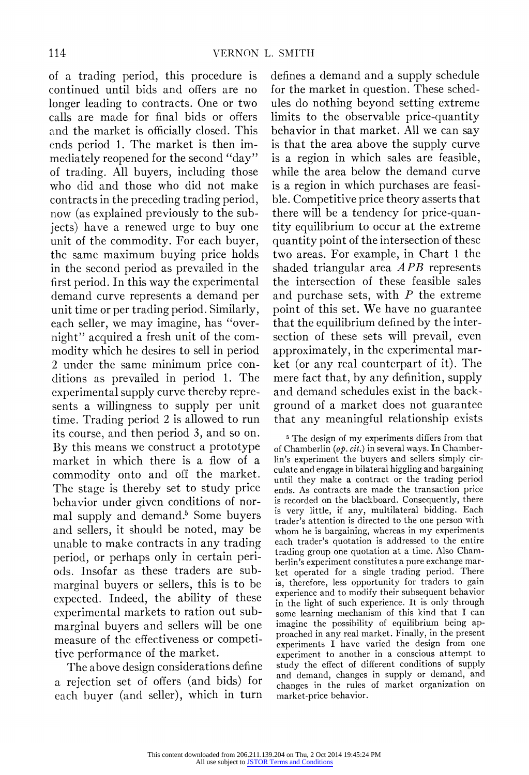**of a trading period, this procedure is continued until bids and offers are no longer leading to contracts. One or two calls are made for final bids or offers and the market is officially closed. This ends period 1. The market is then immediately reopened for the second "day" of trading. All buyers, including those who did and those who did not make contracts in the preceding trading period,**  now (as explained previously to the sub**jects) have a renewed urge to buy one unit of the commodity. For each buyer, the same maximum buying price holds in the second period as prevailed in the first period. In this way the experimental demand curve represents a demand per unit time or per trading period. Similarly, each seller, we may imagine, has "overnight" acquired a fresh unit of the commodity which he desires to sell in period 2 under the same minimum price conditions as prevailed in period 1. The experimental supply curve thereby represents a willingness to supply per unit time. Trading period 2 is allowed to run its course, and then period 3, and so on. By this means we construct a prototype market in which there is a flow of a commodity onto and off the market. The stage is thereby set to study price behavior under given conditions of normal supply and demand.' Some buyers and sellers, it should be noted, may be unable to make contracts in any trading period, or perhaps only in certain peri**ods. Insofar as these traders are sub**marginal buyers or sellers, this is to be expected. Indeed, the ability of these experimental markets to ration out submarginal buyers and sellers will be one measure of the effectiveness or competitive performance of the market.** 

**The above design considerations define a rejection set of offers (and bids) for eaclh buyer (and seller), which in turn** 

**defines a demand and a supply schedule for the market in question. These schedules do nothing beyond setting extreme limits to the observable price-quantity behavior in that market. All we can say is that the area above the supply curve is a region in which sales are feasible, while the area below the demand curve is a region in which purchases are feasible. Competitive price theory asserts that there will be a tendency for price-quantity equilibrium to occur at the extreme quantity point of the intersection of these two areas. For example, in Chart 1 the shaded triangular area APB represents the intersection of these feasible sales and purchase sets, with P the extreme point of this set. We have no guarantee that the equilibrium defined by the intersection of these sets will prevail, even approximately, in the experimental market (or any real counterpart of it). The mere fact that, by any definition, supply and demand schedules exist in the background of a market does not guarantee that any meaningful relationship exists** 

**5 The design of my experiments differs from that of Chamberlin (op. cit.) in several ways. In Chamberlin's experiment the buyers and sellers simply circulate and engage in bilateral higgling and bargaining until they make a contract or the trading period ends. As contracts are made the transaction price is recorded on the blackboard. Consequently, there is very little, if any, multilateral bidding. Each trader's attention is directed to the one person with whom he is bargaining, whereas in my experiments each trader's quotation is addressed to the entire trading group one quotation at a time. Also Chamberlin's experiment constitutes a pure exchange market operated for a single trading period. There is, therefore, less opportunity for traders to gain experience and to modify their subsequent behavior in the light of such experience. It is only through some learning mechanism of this kind that I can imagine the possibility of equilibrium being approached in any real market. Finally, in the present experiments I have varied the design from one experiment to another in a conscious attempt to study the effect of different conditions of supply and demand, changes in supply or demand, and changes in the rules of market organization on market-price behavior.**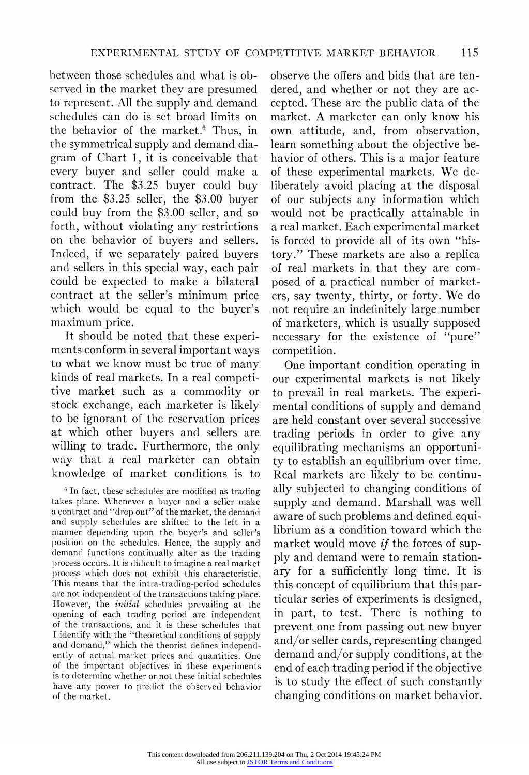**between those schedules and what is observed in the market they are presumed to represent. All the supply and demand schedules can do is set broad limits on the behavior of the market.6 Thus, in the symmetrical supply and demand diagram of Chart 1, it is conceivable that every buyer and seller could make a contract. The \$3.25 buyer could buy from the \$3.25 seller, the \$3.00 buyer could buy from the \$3.00 seller, and so forth, without violating any restrictions on the behavior of buyers and sellers.**  Indeed, if we separately paired buyers **and sellers in this special way, each pair could be expected to make a bilateral conitract at the seller's minimum price which would be equal to the buyer's maximum price.** 

**It should be noted that these experiments conform in several important ways to what we know must be true of many kinds of real markets. In a real competitive market such as a commodity or stock exchange, each marketer is likely to be ignorant of the reservation prices at which other buyers and sellers are willing to trade. Furthermore, the only way that a real marketer can obtain knowledge of market conditions is to** 

**<sup>6</sup>In fact, these schedules are modified as trading takes place. Whenever a buyer and a seller make a contract and "drop out" of the market, the demand and supply schedules are shifted to the left in a**  manner depending upon the buyer's and seller's **position on the schedules. Hence, the supply and**  demand functions continually alter as the trading process occurs. It is difficult to imagine a real market **process which does not exhibit this characteristic. this means that the intra-trading-period schedules**  are not independent of the transactions taking place. However, the *initial* schedules prevailing at the **opening of each trading period are independent of the transactions, and it is these schedules that I identify with the "theoretical conditions of supply**  and demand," which the theorist defines independ**ently of actual market prices and quantities. One of the important objectives in these experiments is to determine whether or not these initial schedules**  have any power to predict the observed behavior **of the market.** 

**observe the offers and bids that are tendered, and whether or not they are accepted. These are the public data of the market. A marketer can only know his own attitude, and, from observation, learn something about the objective behavior of others. This is a major feature of these experimental markets. We deliberately avoid placing at the disposal of our subjects any information which would not be practically attainable in a real market. Each experimental market is forced to provide all of its own "history." These markets are also a replica of real markets in that they are composed of a practical number of marketers, say twenty, thirty, or forty. We do not require an indefinitely large number of marketers, which is usually supposed necessary for the existence of "pure" competition.** 

**One important condition operating in our experimental markets is not likely to prevail in real markets. The experimental conditions of supply and demand are held constant over several successive trading periods in order to give any equilibrating mechanisms an opportunity to establish an equilibrium over time. Real markets are likely to be continually subjected to changing conditions of supply and demand. Marshall was well aware of such problems and defined equilibrium as a condition toward which the market would move if the forces of supply and demand were to remain stationary for a sufficiently long time. It is this concept of equilibrium that this particular series of experiments is designed, in part, to test. There is nothing to prevent one from passing out new buyer and/or seller cards, representing changed demand and/or supply conditions, at the end of each trading period if the objective is to study the effect of such constantly changing conditions on market behavior.**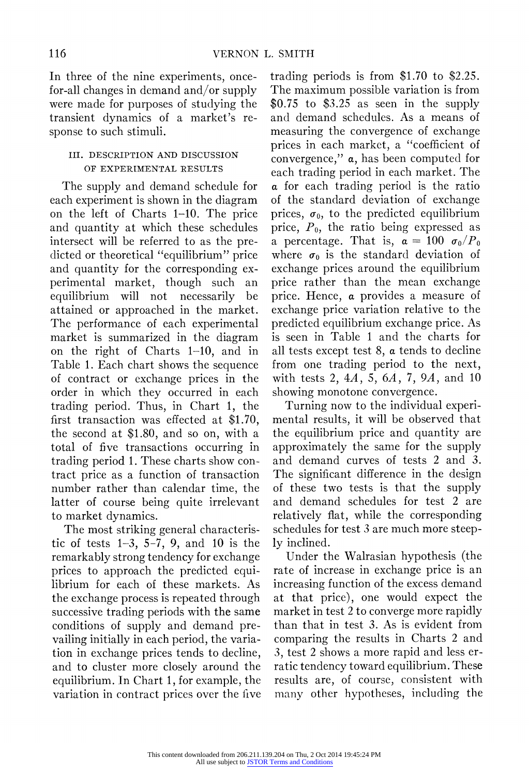**In three of the nine experiments, oncefor-all changes in demand and/or supply were made for purposes of studying the transient dynamics of a market's response to such stimuli.** 

#### **III. DESCRIPTION AND DISCUSSION**  OF EXPERIMENTAL RESULTS

**The supply and demand schedule for each experiment is shown in the diagram on the left of Charts 1-10. The price and quantity at which these schedules intersect will be referred to as the predicted or theoretical "equilibrium" price and quantity for the corresponding experimental market, though such an equilibrium will not necessarily be attained or approached in the market. The performance of each experimental market is summarized in the diagram on the right of Charts 1-10, and in Table 1. Each chart shows the sequence of contract or exchange prices in the order in which they occurred in each trading period. Thus, in Chart 1, the first transaction was effected at \$1.70, the second at \$1.80, and so on, with a total of five transactions occurring in trading period 1. These charts show contract price as a function of transaction number rather than calendar time, the latter of course being quite irrelevant to market dynamics.** 

**The most striking general characteristic of tests 1-3, 5-7, 9, and 10 is the remarkably strong tendency for exchange prices to approach the predicted equilibrium for each of these markets. As the exchange process is repeated through successive trading periods with the same conditions of supply and demand prevailing initially in each period, the variation in exchange prices tends to decline, and to cluster more closely around the equilibrium. In Chart 1, for example, the variation in contract prices over the five** 

**trading periods is from \$1.70 to \$2.25. The maximum possible variation is from \$0.75 to \$3.25 as seen in the supply and demand schedules. As a means of measuring the convergence of exchange prices in each market, a "coefficient of convergence," a, has been computed for each trading period in each market. The a for each trading period is the ratio of the standard deviation of exchange**  prices,  $\sigma_0$ , to the predicted equilibrium **price, Po, the ratio being expressed as**  a percentage. That is,  $\alpha = 100 \sigma_0/P_0$ where  $\sigma_0$  is the standard deviation of **exchange prices around the equilibrium price rather than the mean exchange price. Hence, a provides a measure of exchange price variation relative to the predicted equilibrium exchange price. As is seen in Table 1 and the charts for all tests except test 8, a tends to decline from one trading period to the next, with tests 2, 4A, 5, 6A, 7, 9A, and 10 showing monotone convergence.** 

**Turning now to the individual experimental results, it will be observed that the equilibrium price and quantity are approximately the same for the supply and demand curves of tests 2 and 3. The significant difference in the design of these two tests is that the supply and demand schedules for test 2 are relatively flat, while the corresponding schedules for test 3 are much more steeply inclined.** 

**Under the Walrasian hypothesis (the rate of increase in exchange price is an increasing function of the excess demand at that price), one would expect the market in test 2 to converge more rapidly than that in test 3. As is evident from comparing the results in Charts 2 and 3, test 2 shows a more rapid and less erratic tendency toward equilibrium. These results are, of course, consistent with nmany other hypotheses, including the**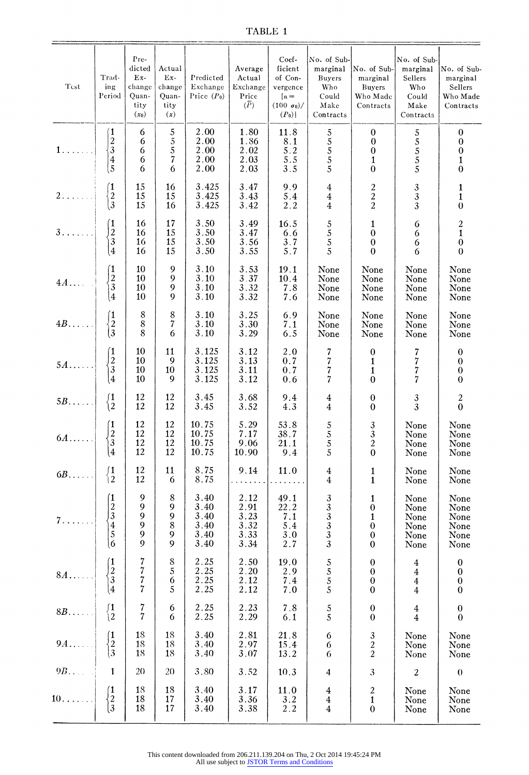**TABLE 1** 

| Test                | Trad-<br>ing<br>Period                                       | Pre-<br>dicted<br>Ex-<br>change<br>Quan-<br>tity<br>$(x_0)$ | Actual<br>Ex-<br>change<br>Quan-<br>tity<br>(x) | Predicted<br>Exchange<br>Price $(P_0)$       | Average<br>Actual<br>Exchange<br>Price<br>(P) | Coef-<br>ficient<br>of Con-<br>vergence<br>$a =$<br>$(100 \sigma_0)/$<br>$(P_0)$ | No. of Sub-<br><b>Buyers</b><br>Who<br>Could<br>Make<br>Contracts    | marginal  No. of Sub-<br>marginal<br><b>Buyers</b><br>Who Made<br>Contracts | No. of Sub-<br>marginal<br>Sellers<br>Who<br>Could<br>Make<br>Contracts | No. of Sub-<br>marginal<br>Sellers<br>Who Made<br>Contracts         |
|---------------------|--------------------------------------------------------------|-------------------------------------------------------------|-------------------------------------------------|----------------------------------------------|-----------------------------------------------|----------------------------------------------------------------------------------|----------------------------------------------------------------------|-----------------------------------------------------------------------------|-------------------------------------------------------------------------|---------------------------------------------------------------------|
| $1, \ldots, \ldots$ | $\left( 1 \right)$<br>$\frac{2}{3}$<br>$\bf{4}$<br>5         | 6<br>6<br>6<br>6<br>6                                       | 5<br>5<br>$\overline{5}$<br>$\overline{7}$<br>6 | 2.00<br>2.00<br>2.00<br>2.00<br>2.00         | 1.80<br>1.86<br>2.02<br>2.03<br>2.03          | 11.8<br>8.1<br>5.2<br>5.5<br>3.5                                                 | 5<br>$\frac{5}{5}$<br>$\overline{5}$                                 | $\bf{0}$<br>$\bf{0}$<br>$\bf{0}$<br>$\mathbf{1}$<br>0                       | 5<br>$\frac{5}{5}$<br>5<br>5                                            | $\bf{0}$<br>$\bf{0}$<br>$\bf{0}$<br>1<br>$\bf{0}$                   |
| $2, \ldots$         | (1<br>$\overline{2}$<br>$\overline{3}$                       | 15<br>15<br>15                                              | 16<br>15<br>16                                  | 3.425<br>3.425<br>3.425                      | 3.47<br>3.43<br>3.42                          | 9.9<br>5.4<br>2.2                                                                | 4<br>$\overline{4}$<br>$\overline{4}$                                | $\frac{2}{2}$                                                               | $\sqrt{3}$<br>$\overline{3}$<br>3                                       | $\mathbf{1}$<br>$\mathbf{1}$<br>$\bf{0}$                            |
| 3                   | (1<br>12<br>$\vert 3 \vert$<br>$\left 4\right\rangle$        | 16<br>16<br>16<br>16                                        | 17<br>15<br>15<br>15                            | 3.50<br>3.50<br>3.50<br>3.50                 | 3.49<br>3.47<br>3.56<br>3.55                  | 16.5<br>6.6<br>3.7<br>5.7                                                        | $\frac{5}{5}$<br>5                                                   | 1<br>$\bf{0}$<br>$\bf{0}$<br>0                                              | 6<br>6<br>6<br>6                                                        | $\boldsymbol{2}$<br>$\overline{\mathbf{1}}$<br>$\bf{0}$<br>$\bf{0}$ |
| $4A$                | 11<br>$ 2\rangle$<br>)3<br>14                                | 10<br>10<br>10<br>10                                        | 9<br>9<br>9<br>9                                | 3.10<br>3.10<br>3.10<br>3.10                 | 3.53<br>3.37<br>3.32<br>3.32                  | 19.1<br>10.4<br>7.8<br>7.6                                                       | None<br>None<br>None<br>None                                         | None<br>None<br>None<br>None                                                | None<br>None<br>None<br>None                                            | None<br>None<br>None<br>None                                        |
| $4B\ldots$          | $\begin{cases} 1 \\ 2 \\ 3 \end{cases}$                      | 8<br>$\,$ 8 $\,$<br>8                                       | 8<br>$\overline{7}$<br>6                        | 3.10<br>3.10<br>3.10                         | 3.25<br>3.30<br>3.29                          | 6.9<br>7.1<br>6.5                                                                | None<br>None<br>None                                                 | None<br>None<br>None                                                        | None<br>None<br>None                                                    | None<br>None<br>None                                                |
| $5A$                | (1<br>$ 2\rangle$<br>ÌЗ<br>$\vert 4$                         | 10<br>10<br>10<br>10                                        | 11<br>9<br>10<br>9                              | 3.125<br>3.125<br>3.125<br>3.125             | 3.12<br>3.13<br>3.11<br>3.12                  | 2.0<br>0.7<br>0.7<br>0.6                                                         | 7<br>$\frac{7}{7}$<br>$\overline{7}$                                 | 0<br>$\mathbf{1}$<br>1<br>0                                                 | $\overline{7}$<br>$\frac{7}{7}$<br>$\overline{7}$                       | $\bf{0}$<br>0<br>$\bf{0}$<br>$\bf{0}$                               |
| $5B$                | $\begin{cases} 1 \\ 2 \end{cases}$                           | 12<br>12                                                    | 12<br>12                                        | 3.45<br>3.45                                 | 3.68<br>3.52                                  | 9.4<br>4.3                                                                       | 4<br>4                                                               | 0<br>0                                                                      | $\frac{3}{3}$                                                           | $\boldsymbol{2}$<br>$\mathbf{0}$                                    |
| $6A$                | $\left(1\right)$<br> 2<br>$\overline{3}$<br> 4               | 12<br>12<br>12<br>12                                        | 12<br>12<br>12<br>12                            | 10.75<br>10.75<br>10.75<br>10.75             | 5.29<br>7.17<br>9.06<br>10.90                 | 53.8<br>38.7<br>21.1<br>9.4                                                      | $\frac{5}{5}$<br>5                                                   | $\frac{3}{2}$<br>$\bf{0}$                                                   | None<br>None<br>None<br>None                                            | None<br>None<br>None<br>None                                        |
| $6B$                | $\begin{smallmatrix} 1 \\ 2 \end{smallmatrix}$               | 12<br>12                                                    | 11<br>6                                         | 8.75<br>8.75                                 | 9.14                                          | 11.0<br>.                                                                        | 4<br>4                                                               | 1<br>1                                                                      | None<br>None                                                            | None<br>None                                                        |
| 7.1.1.1.            | (1)<br>2<br> 3<br>$\overline{4}$<br>$\sqrt{5}$<br>6          | 9<br>9<br>9<br>9<br>9<br>0                                  | 8<br>9<br>9<br>8<br>9<br>9                      | 3.40<br>3.40<br>3.40<br>3.40<br>3.40<br>3.40 | 2.12<br>2.91<br>3.23<br>3.32<br>3.33<br>3.34  | 49.1<br>22.2<br>7.1<br>5.4<br>3.0<br>2.7                                         | 3<br>$\overline{3}$<br>$\overline{\mathbf{3}}$<br>$\frac{3}{3}$<br>3 | 1<br>0<br>1<br>0<br>$\bf{0}$<br>0                                           | None<br>None<br>None<br>None<br>None<br>None                            | None<br>None<br>None<br>None<br>None<br>None                        |
| $8A$                | 11<br>)2<br>$\frac{1}{3}$<br> 4                              | $\frac{7}{7}$<br>7<br>7                                     | 8<br>5<br>6<br>5                                | 2.25<br>2.25<br>2.25<br>2.25                 | 2.50<br>2.20<br>2.12<br>2.12                  | 19.0<br>2.9<br>7.4<br>7.0                                                        | 5<br>$\frac{5}{5}$                                                   | $\bf{0}$<br>0<br>0<br>0                                                     | 4<br>$\overline{4}$<br>$\overline{4}$<br>4                              | 0<br>0<br>0<br>0                                                    |
| $8B$                | $\int$ 1<br>Í2                                               | 7<br>7                                                      | 6<br>6                                          | 2.25<br>2.25                                 | 2.23<br>2.29                                  | 7.8<br>6.1                                                                       | 5<br>5                                                               | 0<br>$\bf{0}$                                                               | $\overline{4}$<br>$\overline{4}$                                        | 0<br>$\bf{0}$                                                       |
| $9A$                | $\begin{cases} 1 \\ 2 \end{cases}$<br>$\left 3\right\rangle$ | 18<br>18<br>18                                              | 18<br>18<br>18                                  | 3.40<br>3.40<br>3.40                         | 2.81<br>2.97<br>3.07                          | 21.8<br>15.4<br>13.2                                                             | 6<br>6<br>6                                                          | 3<br>$\boldsymbol{2}$<br>$\boldsymbol{2}$                                   | None<br>None<br>None                                                    | None<br>None<br>None                                                |
| $9B$                | 1                                                            | 20                                                          | 20                                              | 3.80                                         | 3.52                                          | 10.3                                                                             | 4                                                                    | 3                                                                           | 2                                                                       | $\theta$                                                            |
| $10$                | $\begin{cases} 1 \\ 2 \end{cases}$<br>$\left 3\right\rangle$ | 18<br>18<br>18                                              | 18<br>17<br>17                                  | 3.40<br>3.40<br>3.40                         | 3.17<br>3.36<br>3.38                          | 11.0<br>3.2<br>2.2                                                               | 4<br>4<br>4                                                          | $\sqrt{2}$<br>1<br>0                                                        | None<br>None<br>None                                                    | None<br>None<br>None                                                |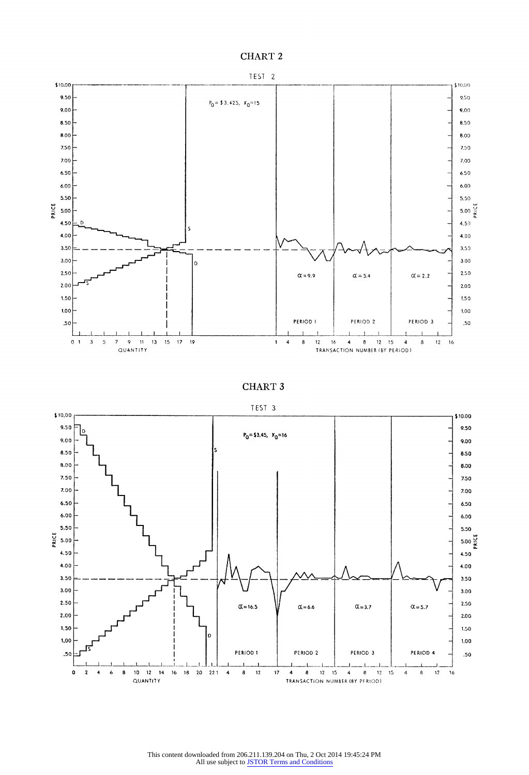





TEST<sub>3</sub>

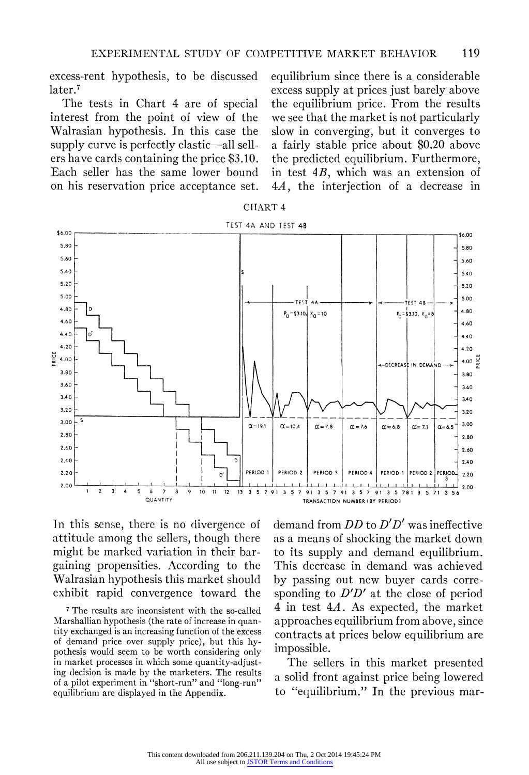excess-rent hypothesis, to be discussed  $later.<sup>7</sup>$ 

The tests in Chart 4 are of special interest from the point of view of the Walrasian hypothesis. In this case the supply curve is perfectly elastic-all sellers have cards containing the price \$3.10. Each seller has the same lower bound on his reservation price acceptance set. equilibrium since there is a considerable excess supply at prices just barely above the equilibrium price. From the results we see that the market is not particularly slow in converging, but it converges to a fairly stable price about \$0.20 above the predicted equilibrium. Furthermore, in test  $4B$ , which was an extension of 4A, the interjection of a decrease in



In this sense, there is no divergence of attitude among the sellers, though there might be marked variation in their bargaining propensities. According to the Walrasian hypothesis this market should exhibit rapid convergence toward the

<sup>7</sup> The results are inconsistent with the so-called Marshallian hypothesis (the rate of increase in quantity exchanged is an increasing function of the excess of demand price over supply price), but this hypothesis would seem to be worth considering only in market processes in which some quantity-adjusting decision is made by the marketers. The results of a pilot experiment in "short-run" and "long-run" equilibrium are displayed in the Appendix.

demand from  $DD$  to  $D'D'$  was ineffective as a means of shocking the market down to its supply and demand equilibrium. This decrease in demand was achieved by passing out new buyer cards corresponding to  $D'D'$  at the close of period  $\overline{4}$  in test  $4A$ . As expected, the market approaches equilibrium from above, since contracts at prices below equilibrium are impossible.

The sellers in this market presented a solid front against price being lowered to "equilibrium." In the previous mar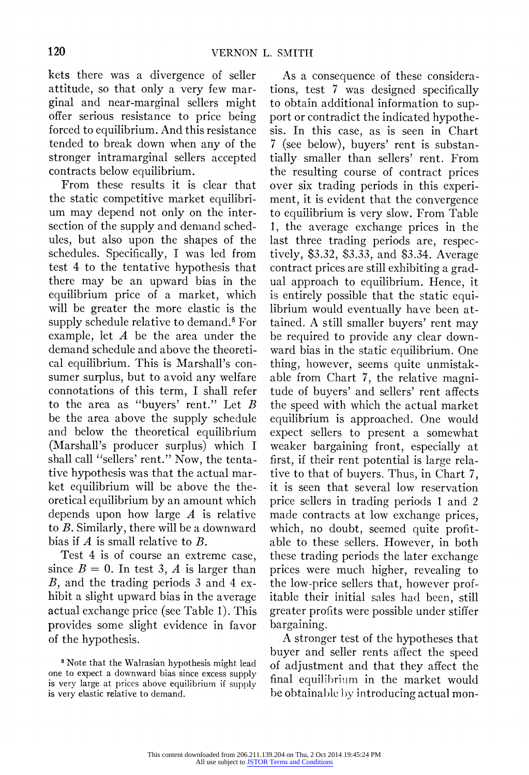**kets there was a divergence of seller attitude, so that only a very few marginal and near-marginal sellers might offer serious resistance to price being forced to equilibrium. And this resistance tended to break down when any of the stronger intramarginal sellers accepted contracts below equilibrium.** 

**From these results it is clear that the static competitive market equilibrium may depend not only on the intersection of the supply and demand schedules, but also upon the shapes of the schedules. Specifically, I was led from test 4 to the tentative hypothesis that there may be an upward bias in the equilibrium price of a market, which will be greater the more elastic is the supply schedule relative to demand.8 For example, let A be the area under the demand schedule and above the theoretical equilibrium. This is Marshall's consumer surplus, but to avoid any welfare connotations of this term, I shall refer to the area as "buyers' rent." Let B be the area above the supply schedule and below the theoretical equilibrium (Marshall's producer surplus) which I shall call "sellers' rent." Now, the tentative hypothesis was that the actual market equilibrium will be above the theoretical equilibrium by an amount which depends upon how large A is relative to B. Similarly, there will be a downward bias if A is small relative to B.** 

**Test 4 is of course an extreme case,**  since  $B = 0$ . In test 3, A is larger than **B, and the trading periods 3 and 4 exhibit a slight upward bias in the average actual exchange price (see Table 1). This provides some slight evidence in favor of the hypothesis.** 

**As a consequence of these considerations, test 7 was designed specifically to obtain additional information to support or contradict the indicated hypothesis. In this case, as is seen in Chart 7 (see below), buyers' rent is substantially smaller than sellers' rent. From the resulting course of contract prices over six trading periods in this experiment, it is evident that the convergence to equilibrium is very slow. From Table 1, the average exchange prices in the last three trading periods are, respectively, \$3.32, \$3.33, and \$3.34. Average contract prices are still exhibiting a gradual approach to equilibrium. Hence, it is entirely possible that the static equilibrium would eventually have been attained. A still smaller buyers' rent may be required to provide any clear downward bias in the static equilibrium. One thing, however, seems quite unmistakable from Chart 7, the relative magnitude of buyers' and sellers' rent affects the speed with which the actual market equilibrium is approached. One would expect sellers to present a somewhat weaker bargaining front, especially at first, if their rent potential is large relative to that of buyers. Thus, in Chart 7,**  it is seen that several low reservation **price sellers in trading periods 1 and 2 made contracts at low exchange prices, which, no doubt, seemed quite profitable to these sellers. However, in both these trading periods the later exchange prices were much higher, revealing to the low-price sellers that, however profitable their initial sales had been, still greater profits were possible under stiffer bargaining.** 

**A stronger test of the hypotheses that buyer and seller rents affect the speed of adjustment and that they affect the**  final equilibrium in the market would **be obtainable by introducing actual mon-**

**<sup>8</sup>Note that the Wairasian hypothesis might lead one to expect a downward bias since excess supply is very large at prices above equilibrium if supply is very elastic relative to demand.**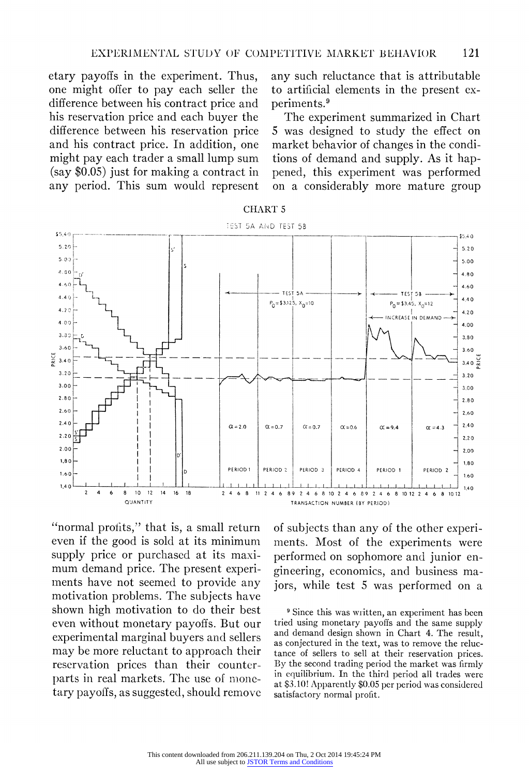etary payoffs in the experiment. Thus, one might offer to pay each seller the difference between his contract price and his reservation price and each buyer the difference between his reservation price and his contract price. In addition, one might pay each trader a small lump sum  $(say $0.05)$  just for making a contract in any period. This sum would represent

any such reluctance that is attributable to artificial elements in the present experiments.<sup>9</sup>

The experiment summarized in Chart 5 was designed to study the effect on market behavior of changes in the conditions of demand and supply. As it happened, this experiment was performed on a considerably more mature group



CHART<sub>5</sub>

"normal profits," that is, a small return even if the good is sold at its minimum supply price or purchased at its maximum demand price. The present experiments have not seemed to provide any motivation problems. The subjects have shown high motivation to do their best even without monetary payoffs. But our experimental marginal buyers and sellers may be more reluctant to approach their reservation prices than their counterparts in real markets. The use of monetary payoffs, as suggested, should remove

of subjects than any of the other experiments. Most of the experiments were performed on sophomore and junior engineering, economics, and business majors, while test 5 was performed on a

<sup>9</sup> Since this was written, an experiment has been tried using monetary payoffs and the same supply and demand design shown in Chart 4. The result, as conjectured in the text, was to remove the reluctance of sellers to sell at their reservation prices. By the second trading period the market was firmly in equilibrium. In the third period all trades were at \$3.10! Apparently \$0.05 per period was considered satisfactory normal profit.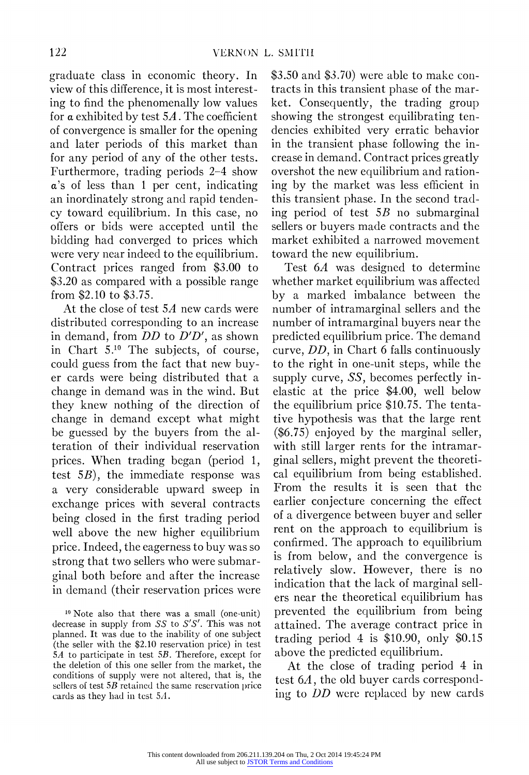**graduate class in economic theory. In view of this difference, it is most interesting to find the phenomenally low values for a exhibited by test 5A. The coefficient of convergence is smaller for the opening and later periods of this market than for any period of any of the other tests. Furthermore, trading periods 2-4 show a's of less than 1 per cent, indicating an inordinately strong and rapid tendency toward equilibrium. In this case, no offers or bids were accepted until the bidding had converged to prices which were very near indeed to the equilibrium. Contract prices ranged from \$3.00 to \$3.20 as compared with a possible range from \$2.10 to \$3.75.** 

**At the close of test 5A new cards were distributed corresponding to an increase in demand, from DD to D'D', as shown in Chart 5.10 The subjects, of course, could guess from the fact that new buyer cards were being distributed that a change in demand was in the wind. But they knew nothing of the direction of change in demand except what might be guessed by the buyers from the alteration of their individual reservation prices. When trading began (period 1, test 5B), the immediate response was a very considerable upward sweep in exchange prices with several contracts being closed in the first trading period well above the new higher equilibrium price. Indeed, the eagerness to buy was so strong that two sellers who were submarginal both before and after the increase in demand (their reservation prices were** 

**<sup>10</sup>Note also that there was a small (one-unit) decrease in supply from SS to S'S'. This was not planned. It was due to the inability of one subject (the seller with the \$2.10 reservation price) in test 5A to participate in test SB. Therefore, except for the deletion of this one seller from the market, the conditions of supply were not altered, that is, the**  sellers of test 5B retained the same reservation price **cards as they had in test 5A1.** 

**\$3.50 and \$3.70) were able to make contracts in this transient phase of the market. Consequently, the trading group showing the strongest equilibrating tendencies exhibited very erratic behavior in the transient phase following the increase in demand. Contract prices greatly overshot the new equilibrium and rationing by the market was less efficient in this transient phase. In the second trading period of test 5B no submarginal sellers or buyers made contracts and the market exhibited a narrowed movement toward the new equilibrium.** 

**Test 6A was designed to determine whether market equilibrium was affected by a marked imbalance between the number of intramarginal sellers and the number of intramarginal buyers near the predicted equilibrium price. The demand curve, DD, in Chart 6 falls continuously to the right in one-unit steps, while the supply curve, SS, becomes perfectly inelastic at the price \$4.00, well below the equilibrium price \$10.75. The tentative hypothesis was that the large rent (\$6.75) enjoyed by the marginal seller, with still larger rents for the intramarginal sellers, might prevent the theoretical equilibrium from being established. From the results it is seen that the earlier conjecture concerning the effect of a divergence between buyer and seller rent on the approach to equilibrium is confirmed. The approach to equilibrium is from below, and the convergence is relatively slow. However, there is no indication that the lack of marginal sellers near the theoretical equilibrium has prevented the equilibrium from being attained. The average contract price in trading period 4 is \$10.90, only \$0.15 above the predicted equilibrium.** 

**At the close of trading period 4 in test 6A, the old buyer cards corresponiding to DD were replaced by new cards**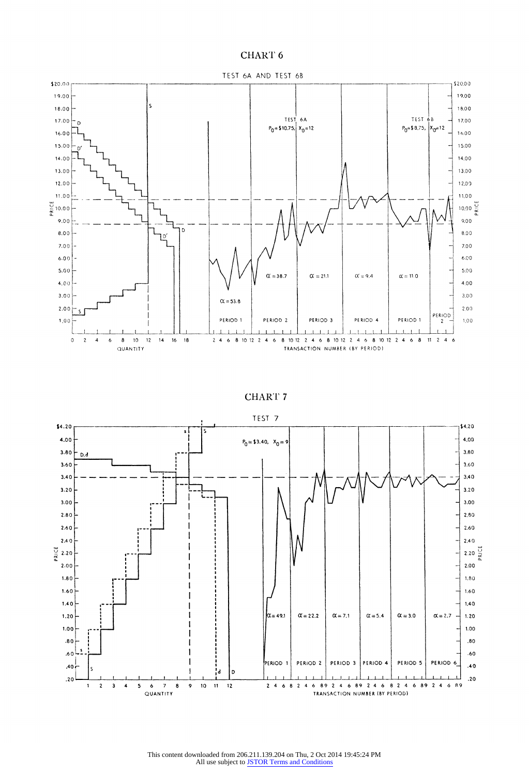#### **CHAR'' 6**



**CHART7** 

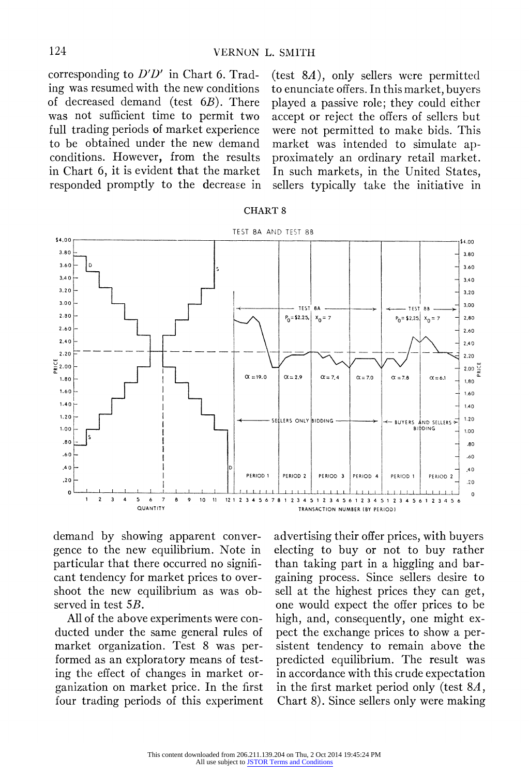**corresponding to D'D' in Chart 6. Trading was resumed with the new conditions of decreased demand (test 6B). There was not sufficient time to permit two full trading periods of market experience to be obtained under the new demand conditions. However, from the results in Chart 6, it is evident that the market responded promptly to the decrease in** 

**(test 8A), only sellers were permitted to enunciate offers. In this market, buyers played a passive role; they could either accept or reject the offers of sellers but were not permitted to make bids. This market was intended to simulate approximately an ordinary retail market. In such markets, in the United States, sellers typically take the initiative in** 



**CHART 8** 

**demand by showing apparent convergence to the new equilibrium. Note in particular that there occurred no significant tendency for market prices to overshoot the new equilibrium as was observed in test 5B.** 

**All of the above experiments were conducted under the same general rules of market organization. Test 8 was performed as an exploratory means of testing the effect of changes in market organization on market price. In the first four trading periods of this experiment**  **advertising their offer prices, with buyers electing to buy or not to buy rather than taking part in a higgling and bargaining process. Since sellers desire to sell at the highest prices they can get, one would expect the offer prices to be high, and, consequently, one might expect the exchange prices to show a persistent tendency to remain above the predicted equilibrium. The result was in accordance with this crude expectation in the first market period only (test 8A, Chart 8). Since sellers only were making**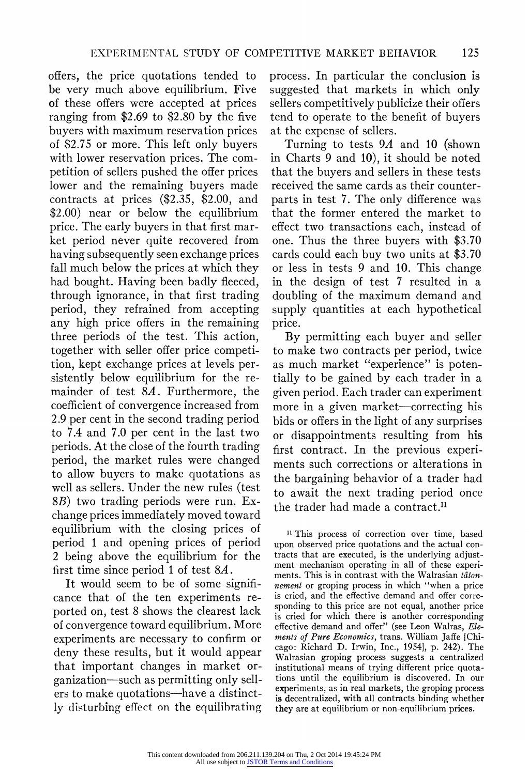**offers, the price quotations tended to be very much above equilibrium. Five of these offers were accepted at prices ranging from \$2.69 to \$2.80 by the five buyers with maximum reservation prices of \$2.75 or more. This left only buyers with lower reservation prices. The competition of sellers pushed the offer prices lower and the remaining buyers made contracts at prices (\$2.35, \$2.00, and \$2.00) near or below the equilibrium price. The early buyers in that first market period never quite recovered from having subsequently seen exchange prices fall much below the prices at which they had bought. Having been badly fleeced, through ignorance, in that first trading period, they refrained from accepting any high price offers in the remaining three periods of the test. This action, together with seller offer price competition, kept exchange prices at levels persistently below equilibrium for the remainder of test 8A. Furthermore, the coefficient of convergence increased from 2.9 per cent in the second trading period to 7.4 and 7.0 per cent in the last two periods. At the close of the fourth trading period, the market rules were changed to allow buyers to make quotations as well as sellers. Under the new rules (test 8B) two trading periods were run. Exchange prices immediately moved toward equilibrium with the closing prices of period 1 and opening prices of period 2 being above the equilibrium for the first time since period 1 of test 8A.** 

**It would seem to be of some significance that of the ten experiments reported on, test 8 shows the clearest lack of convergence toward equilibrium. More experiments are necessary to confirm or deny these results, but it would appear that important changes in market organization-such as permitting only sellers to make quotations-have a distinctly (listurbing effect on the equilibrating**  **process. In particular the conclusion is suggested that markets in which only sellers competitively publicize their offers tend to operate to the benefit of buyers at the expense of sellers.** 

**Turning to tests 9A and 10 (shown in Charts 9 and 10), it should be noted that the buyers and sellers in these tests received the same cards as their counterparts in test 7. The only difference was that the former entered the market to effect two transactions each, instead of one. Thus the three buyers with \$3.70 cards could each buy two units at \$3.70 or less in tests 9 and 10. This change in the design of test 7 resulted in a doubling of the maximum demand and supply quantities at each hypothetical price.** 

**By permitting each buyer and seller to make two contracts per period, twice as much market "experience" is potentially to be gained by each trader in a given period. Each trader can experiment more in a given market-correcting his bids or offers in the light of any surprises or disappointments resulting from his first contract. In the previous experiments such corrections or alterations in the bargaining behavior of a trader had to await the next trading period once the trader had made a contract.11** 

**"1 This process of correction over time, based upon observed price quotations and the actual contracts that are executed, is the underlying adjustment mechanism operating in all of these experi**ments. This is in contrast with the Walrasian tâton**nement or groping process in which "when a price is cried, and the effective demand and offer corresponding to this price are not equal, another price is cried for which there is another corresponding effective demand and offer" (see Leon Walras, Elements of Pure Economics, trans. William Jaffe [Chicago: Richard D. Irwin, Inc., 1954], p. 242). The Walrasian groping process suggests a centralized institutional means of trying different price quotations until the equilibrium is discovered. In our experiments, as in real markets, the groping process is decentralized, with all contracts binding whether they are at equilibrium or non-equilibrium prices.**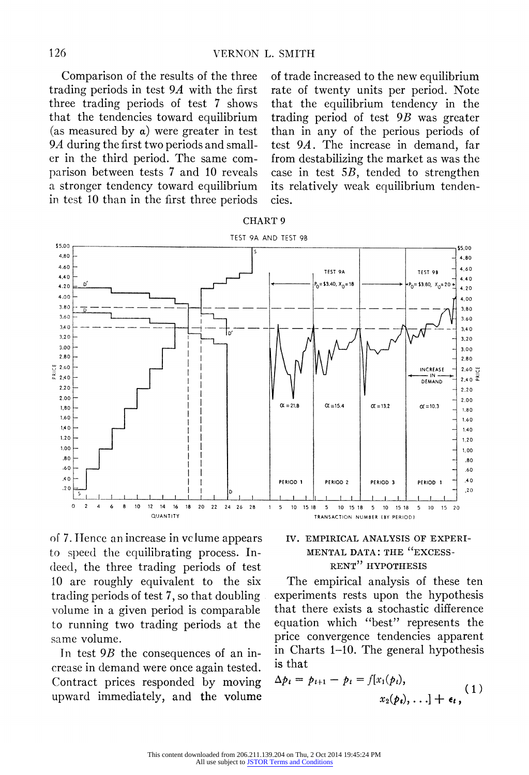**Comparison of the results of the three trading periods in test 9A with the first three trading periods of test 7 shows that the tendencies toward equilibrium (as measured by a) were greater in test 9A during the first two periods and smaller in the third period. The same comparison between tests 7 and 10 reveals a stronger tendency toward equilibrium in test 10 than in the first three periods** 

**of trade increased to the new equilibrium rate of twenty units per period. Note that the equilibrium tendency in the trading period of test 9B was greater than in any of the perious periods of test 9A. The increase in demand, far from destabilizing the market as was the case in test 5B, tended to strengthen its relatively weak equilibrium tendencies.** 



of 7. Hence an increase in velume appears **to speed the equilibrating process. Indeed, the three trading periods of test 10 are roughly equivalent to the six trading periods of test 7, so that doubling volume in a given period is comparable to running two trading periods at the same volume.** 

**In test 9B the consequences of an increase in demand were once again tested. Contract prices responded by moving upward immediately, and the volume** 

## **IV. EMPIRICAL ANALYSIS OF EXPERI-MENTAL DATA: THE "EXCESS-RENT" HYPOTHESIS**

**The empirical analysis of these ten experiments rests upon the hypothesis that there exists a stochastic difference equation which "best" represents the price convergence tendencies apparent in Charts 1-10. The general hypothesis is that** 

$$
\Delta p_i = p_{i+1} - p_i = f[x_1(p_i),
$$
  

$$
x_2(p_i), \ldots] + \epsilon_i,
$$
 (1)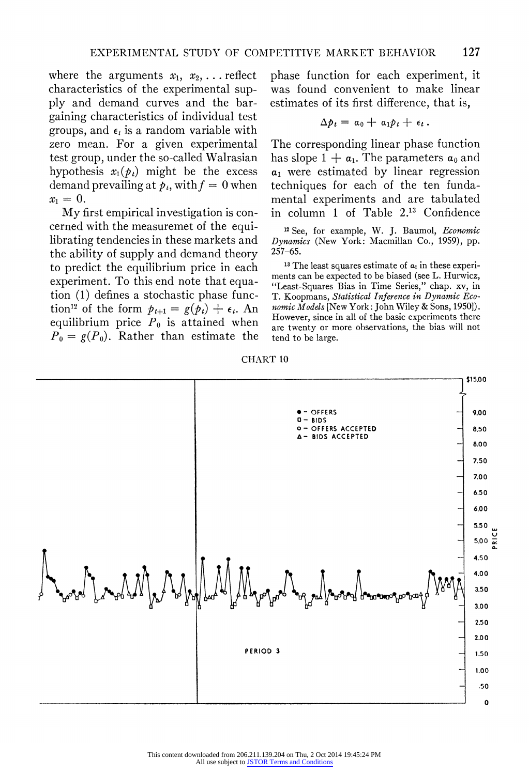where the arguments  $x_1, x_2, \ldots$  reflect **characteristics of the experimental supply and demand curves and the bargaining characteristics of individual test**  groups, and  $\epsilon_t$  is a random variable with **zero mean. For a given experimental test group, under the so-called Walrasian**  hypothesis  $x_i(p_i)$  might be the excess demand prevailing at  $p_t$ , with  $f = 0$  when  $x_1 = 0.$ 

**My first empirical investigation is concerned with the measuremet of the equilibrating tendencies in these markets and the ability of supply and demand theory to predict the equilibrium price in each experiment. To this end note that equation (1) defines a stochastic phase function**<sup>12</sup> of the form  $p_{t+1} = g(p_t) + \epsilon_t$ . An equilibrium price  $P_0$  is attained when  $P_0 = g(P_0)$ . Rather than estimate the **phase function for each experiment, it was found convenient to make linear estimates of its first difference, that is,** 

$$
\Delta p_t = a_0 + a_1 p_t + \epsilon_t.
$$

**The corresponding linear phase function**  has slope  $1 + a_1$ . The parameters  $a_0$  and **a, were estimated by linear regression techniques for each of the ten fundamental experiments and are tabulated in column 1 of Table 2.13 Confidence** 

**12 See, for example, W. J. Baumol, Economic Dynamics (New York: Macmillan Co., 1959), pp. 257-65.** 

<sup>13</sup> The least squares estimate of  $a_1$  in these experi**ments can be expected to be biased (see L. Hurwicz, "Least-Squares Bias in Time Series," chap. xv, in T. Koopmans, Statistical Inference in Dynamic Economic Models [New York: John Wiley & Sons, 1950]). However, since in all of the basic experiments there are twenty or more observations, the bias will not tend to be large.** 

#### **CHART 10**

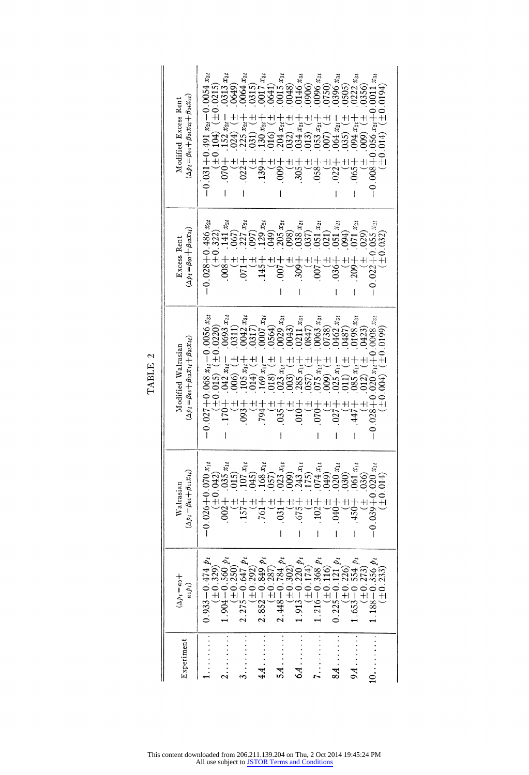| Experiment | $\begin{array}{l} 0.933 - 0.474 \,\,\hline{t} \\ (1.904 - 0.539) \\ (1.904 - 0.550 \,\,\hline{t} \\ (1.905 - 0.647 \,\,\hline{t} \\ (1.915 - 0.647 \,\,\hline{t} \\ (1.922) \,\,\hline{t} \\ (1.915 - 0.849 \,\,\hline{t} \\ (1.915 - 0.302 \,\,\hline{t} \\ (1.915 - 0.302 \,\,\hline{t} \\ (1.915 - 0.302 \,\,\hline{t} \\ (1.915$<br>$(\Delta p_t = \alpha_0 +$<br>$a_1\not\!\! p_t)$ | $-0.026 + 0.070 x$<br>$(1 + 0.042)$ $(1 + 0.053n$ $(1 + 1.043)n$ $(1 + 1.043)n$ $(1 + 1.043)n$ $(1 + 1.043)n$ $(1 + 0.03n)$ $(1 + 0.03n)$ $(1 + 0.03n)$ $(1 + 0.03n)$ $(1 + 0.03n)$ $(1 + 0.03n)$ $(1 + 0.03n)$<br>$(\Delta p_l = \beta_{01} + \beta_{11} x_{1l})$<br>Walrasian<br>I | $-0.027 + 0.068 x_1 - 0.0056 x_3$<br>0220<br>$(\Delta p_t = \beta_{03} + \beta_{13} x_{1t} + \beta_{33} x_{3t})$<br>$\frac{1}{2}$<br>Modified Walrasian | $0.028 + 0.486 x_{21}$<br>$\begin{array}{l} \bf{321} \\ \bf{331} \\ \bf{44} \\ \bf{143} \\ \bf{251} \\ \bf{261} \\ \bf{27} \\ \bf{283} \\ \bf{29} \\ \bf{283} \\ \bf{29} \\ \bf{283} \\ \bf{284} \\ \bf{29} \\ \bf{283} \\ \bf{29} \\ \bf{283} \\ \bf{29} \\ \bf{29} \\ \bf{20} \\ \bf{20} \\ \bf{20} \\ \bf{21} \\ \bf{24} \\ \bf{24} \\ \bf{25} \\ \bf{26} \\ \bf{27} \\ \bf{28}$<br>$(\Delta p_t = \beta_{02} + \beta_{22} x_{2t})$<br>Excess Rent<br>し<br>サ<br>$+100 + 100$<br>$+11$<br>$-11$<br>$-11$<br>$-11$<br>$-11$<br>$-11$<br>$-11$<br>$36 +$<br>$+800$ | $-0.031 + 0.491 x_{24} - 0.0054 x_{35}$<br>$(\begin{array}{cccc} \text{(pm 0.104)} \ (\pm 0.014) \ (\pm 0.015)^{``}}\\ (152 \text{ } z_{24} - .0313 \text{ } z_{34}\\ (224) \ (\pm 0.0649)\\ (152 \text{ } z_{34} - .0313 \text{ } z_{34}\\ (24) \ (\pm 0.017) \text{ } z_{34}\\ (152 \text{ } z_{34} + .0315)\\ (152 \text{ } z_{34} + .0315)\\ (152 \text{ } z_{34} + .0315)\\ (152 \text{ } z_{34} + .0315$<br>$(\Delta p_t = \beta_{04} + \beta_{24} x_{2t} + \beta_{34} x_{3t})$<br>Modified Excess Ren'<br>$+ + +$<br>38<br>30<br>30<br>30<br>$+600$ |
|------------|------------------------------------------------------------------------------------------------------------------------------------------------------------------------------------------------------------------------------------------------------------------------------------------------------------------------------------------------------------------------------------------|--------------------------------------------------------------------------------------------------------------------------------------------------------------------------------------------------------------------------------------------------------------------------------------|---------------------------------------------------------------------------------------------------------------------------------------------------------|--------------------------------------------------------------------------------------------------------------------------------------------------------------------------------------------------------------------------------------------------------------------------------------------------------------------------------------------------------------------------------------------------------------------------------------------------------------------------------------------------------------------------------------------------------------------|------------------------------------------------------------------------------------------------------------------------------------------------------------------------------------------------------------------------------------------------------------------------------------------------------------------------------------------------------------------------------------------------------------------------------------------------------------------------------------------------------------------------------------------------------------|
|            |                                                                                                                                                                                                                                                                                                                                                                                          | $020 x_{10}$<br>$\left( \pm 10\right)$<br>$-0.039 + 0.$<br>$\frac{1}{2}$                                                                                                                                                                                                             | $0008 x_{3t}$<br>0199)<br>$020~x_1t + 0$<br>$\widetilde{O}(4)$<br>$-0.028 + 0$                                                                          | $055\, x_{24}$<br>032)<br>$0.022 + 0$<br>$209 +$                                                                                                                                                                                                                                                                                                                                                                                                                                                                                                                   | $\frac{1}{2}$<br>014)<br>$-1.608 + C$<br>$\frac{1}{2}$                                                                                                                                                                                                                                                                                                                                                                                                                                                                                                     |

TABLE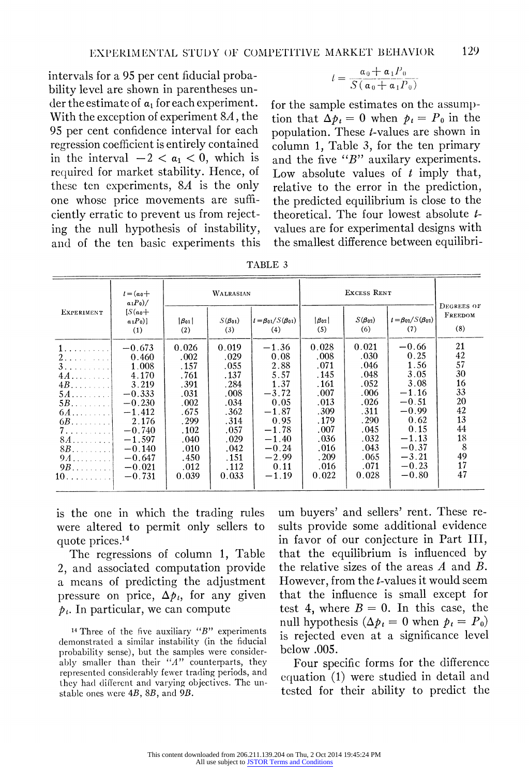intervals for a 95 per cent fiducial probability level are shown in parentheses under the estimate of  $a_1$  for each experiment. With the exception of experiment  $8A$ , the 95 per cent confidence interval for each regression coefficient is entirely contained in the interval  $-2 < a_1 < 0$ , which is required for market stability. Hence, of these ten experiments, 8A is the only one whose price movements are sufficiently erratic to prevent us from rejecting the null hypothesis of instability, and of the ten basic experiments this

$$
l = \frac{a_0 + a_1 P_0}{S(a_0 + a_1 P_0)}
$$

for the sample estimates on the assumption that  $\Delta p_t = 0$  when  $p_t = P_0$  in the population. These *t*-values are shown in column 1, Table 3, for the ten primary and the five " $B$ " auxilary experiments. Low absolute values of  $t$  imply that, relative to the error in the prediction, the predicted equilibrium is close to the theoretical. The four lowest absolute tvalues are for experimental designs with the smallest difference between equilibri-

|  |  | TABLE . |  |  |
|--|--|---------|--|--|
|--|--|---------|--|--|

|                   | $t = (a_0 +$<br>$a_1P_0$ /<br>$[S(a_0+]$<br>$a_1P_0$ ]<br>(1) |                       | WALRASIAN                           |                                       | EXCESS RENT           |                                     |                                       |                                     |
|-------------------|---------------------------------------------------------------|-----------------------|-------------------------------------|---------------------------------------|-----------------------|-------------------------------------|---------------------------------------|-------------------------------------|
| <b>EXPERIMENT</b> |                                                               | $ \beta_{01} $<br>(2) | $S(\boldsymbol{\beta}_{01})$<br>(3) | $t = \beta_{01}/S(\beta_{01})$<br>(4) | $ \beta_{02} $<br>(5) | $S(\boldsymbol{\beta}_{02})$<br>(6) | $t = \beta_{02}/S(\beta_{02})$<br>(7) | <b>DEGREES OF</b><br>FREEDOM<br>(8) |
| 1.                | $-0.673$                                                      | 0.026                 | 0.019                               | $-1.36$                               | 0.028                 | 0.021                               | $-0.66$                               | 21                                  |
| 2.                | 0.460                                                         | .002                  | .029                                | 0.08                                  | .008                  | .030                                | 0.25                                  | 42                                  |
| 3.                | 1.008                                                         | . 157                 | .055                                | 2.88                                  | .071                  | .046                                | 1.56                                  | 57                                  |
| 44.               | 4.170                                                         | . 761                 | . 137                               | 5.57                                  | .145                  | .048                                | 3.05                                  | 30                                  |
| $4B$              | 3.219                                                         | .391                  | .284                                | 1.37                                  | . 161                 | .052                                | 3.08                                  | 16                                  |
| $5A$              | $-0.333$                                                      | .031                  | .008                                | $-3.72$                               | .007                  | .006                                | $-1.16$                               | 33                                  |
| $5B$              | $-0.230$                                                      | .002                  | .034                                | 0.05                                  | .013                  | .026                                | $-0.51$                               | 20                                  |
| $6A$              | $-1.412$                                                      | . 675                 | .362                                | $-1.87$                               | .309                  | . 311                               | $-0.99$                               | 42                                  |
| $6B$              | 2.176                                                         | .299                  | .314                                | 0.95                                  | .179                  | . 290                               | 0.62                                  | 13                                  |
| 7.                | $-0.740$                                                      | .102                  | .057                                | $-1.78$                               | .007                  | .045                                | 0.15                                  | 44                                  |
| $8A$              | $-1.597$                                                      | .040                  | .029                                | $-1.40$                               | .036                  | .032                                | $-1.13$                               | 18                                  |
| $8B$              | $-0.140$                                                      | .010                  | .042                                | $-0.24$                               | .016                  | .043                                | $-0.37$                               | 8                                   |
| $9A$              | $-0.647$                                                      | .450                  | .151                                | $-2.99$                               | . 209                 | .065                                | $-3.21$                               | 49                                  |
| $9B$              | $-0.021$                                                      | .012                  | .112                                | 0.11                                  | .016                  | .071                                | $-0.23$                               | 17                                  |
|                   | $-0.731$                                                      | 0.039                 | 0.033                               | $-1.19$                               | 0.022                 | 0.028                               | $-0.80$                               | 47                                  |

is the one in which the trading rules were altered to permit only sellers to quote prices.<sup>14</sup>

The regressions of column 1, Table 2, and associated computation provide a means of predicting the adjustment pressure on price,  $\Delta p_t$ , for any given  $p_t$ . In particular, we can compute

um buyers' and sellers' rent. These results provide some additional evidence in favor of our conjecture in Part III, that the equilibrium is influenced by the relative sizes of the areas  $A$  and  $B$ . However, from the *t*-values it would seem that the influence is small except for test 4, where  $B = 0$ . In this case, the null hypothesis ( $\Delta p_t = 0$  when  $p_t = P_0$ ) is rejected even at a significance level below .005.

Four specific forms for the difference equation (1) were studied in detail and tested for their ability to predict the

129

<sup>&</sup>lt;sup>14</sup> Three of the five auxiliary " $B$ " experiments demonstrated a similar instability (in the fiducial probability sense), but the samples were considerably smaller than their " $A$ " counterparts, they represented considerably fewer trading periods, and they had different and varying objectives. The unstable ones were  $4B$ ,  $8B$ , and  $9B$ .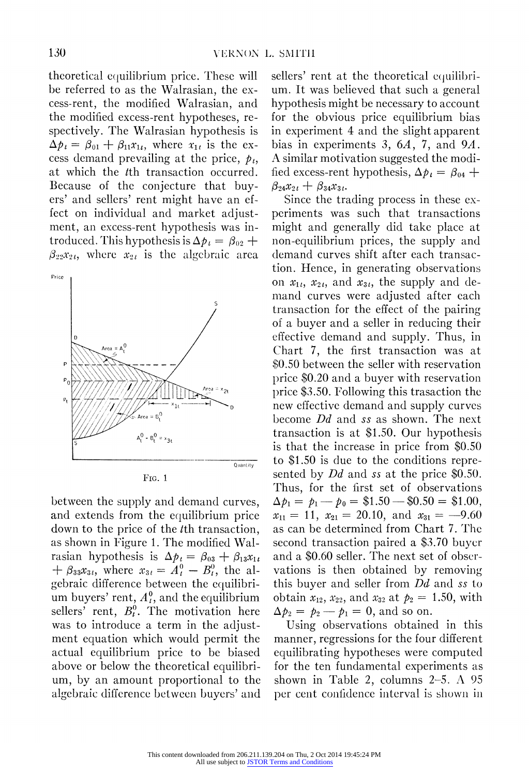**theoretical equililbrium price. These will be referred to as the Walrasian, the excess-rent, the modified Walrasian, and the modified excess-rent hypotheses, respectively. The Walrasian hypothesis is**   $\Delta p_t = \beta_{01} + \beta_{11}x_{1t}$ , where  $x_{1t}$  is the excess demand prevailing at the price,  $p_t$ , **at which the tth transaction occurred. Because of the conjecture that buyers' and sellers' rent might have an effect on individual and market adjustment, an excess-rent hypothesis was introduced. This hypothesis is**  $\Delta p_i = \beta_{02} +$  $\beta_{22}x_{2i}$ , where  $x_{2i}$  is the algebraic area





between the supply and demand curves, and extends from the equilibrium price **down to the price of the tth transaction, as shown in Figure 1. The modified Walrasian** hypothesis is  $\Delta p_t = \beta_{03} + \beta_{13}x_{1t}$  $+ \beta_{33}x_{3t}$ , where  $x_{3t} = A_t^0 - B_t^0$ , the al**gebraic difference between the equilibri**um buyers' rent,  $A_t^0$ , and the equilibrium sellers<sup>'</sup> rent,  $B_t^0$ . The motivation here **was to introduce a term in the adjustment equation which would permit the actual equilibrium price to be biased above or below the theoretical equilibrium, by an amount proportional to the**  algebraic difference between buyers' and sellers' rent at the theoretical equilibri**um. It was believed that such a general hypothesis might be necessary to account for the obvious price equilibrium bias in experiment 4 and the slight apparent bias in experiments 3, 6A, 7, and 9A. A similar motivation suggested the modi**fied excess-rent hypothesis,  $\Delta p_i = \beta_{04} +$  $\beta_{24}x_{2t} + \beta_{34}x_{3t}$ 

**Since the trading process in these experiments was such that transactions might and generally did take place at non-equilibrium prices, the supply and clemand curves shift after each transaction. Hence, in generating observations**  on  $x_{1t}$ ,  $x_{2t}$ , and  $x_{3t}$ , the supply and de**mand curves were adjusted after each transaction for the effect of the pairing of a buyer and a seller in reducing their effective demand and supply. Thus, in Chart 7, the first transaction was at \$0.50 between the seller with reservation price \$0.20 and a buyer with reservation price \$3.50. Following this trasaction the new effective demand and supply curves become Dd and ss as shown. The next transaction is at \$1.50. Our hypothesis is that the increase in price from \$0.50 to \$1.50 is due to the conditions represented by Dd and ss at the price \$0.50. Thus, for the first set of observations**   $\Delta p_1 = p_1 - p_0 = $1.50 - $0.50 = $1.00,$  $x_{11} = 11$ ,  $x_{21} = 20.10$ , and  $x_{31} = -9.60$ **as can be determined from Chart 7. The second transaction paired a \$3.70 buyer and a \$0.60 seller. The next set of obser**vations is then obtained by removing **this buyer and seller from Dd and ss to obtain**  $x_{12}$ ,  $x_{22}$ , and  $x_{32}$  at  $p_2 = 1.50$ , with  $\Delta p_2 = p_2 - p_1 = 0$ , and so on.

**Using observations obtained in this manner, regressions for the four different equilibrating hypotheses were computed for the ten fundamental experiments as shown in Table 2, columns 2-5. A 95 per cent confidence interval is shown in**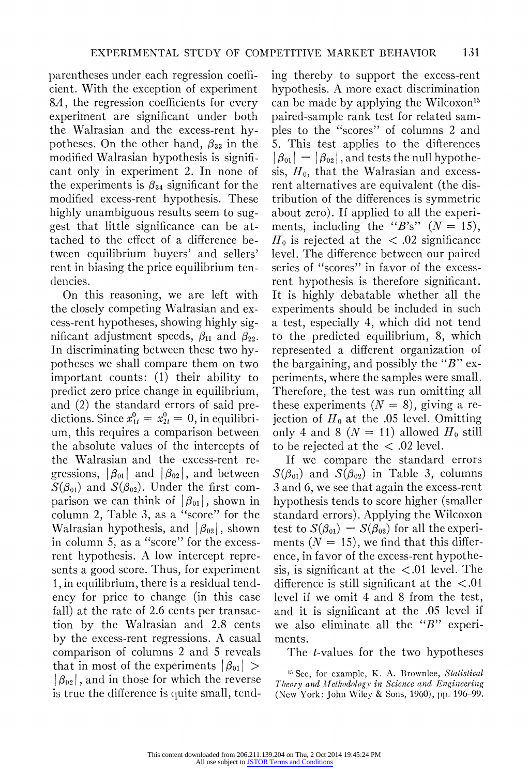**parentheses under each regression coefficient. With the exception of experiment 8A, the regression coefficients for every experiment are significant under both the Walrasian and the excess-rent hy**potheses. On the other hand,  $\beta_{33}$  in the **modified Walrasian hypothesis is significant only in experiment 2. In none of**  the experiments is  $\beta_{34}$  significant for the **modified excess-rent hypothesis. These highly unambiguous results seem to suggest that little significance can be attached to the effect of a difference between equilibrium buyers' and sellers' rent in biasing the price equilibrium ten**dencies.

**On this reasoning, we are left with the closely competing Walrasian and excess-rent hypotheses, showing highly significant adjustment speeds,**  $\beta_{11}$  **and**  $\beta_{22}$ **. In discriminating between these two hypotheses we shall compare them on two important counts: (1) their ability to predict zero price change in equilibrium, and (2) the standard errors of said pre**dictions. Since  $x_{1i}^0 = x_{2i}^0 = 0$ , in equilibri**um, this requires a comparison between the absolute values of the intercepts of the Walrasian and the excess-rent re**gressions,  $\left[\beta_{01}\right]$  and  $\left[\beta_{02}\right]$ , and between  $S(\beta_{01})$  and  $S(\beta_{02})$ . Under the first com**parison** we can think of  $|\beta_{01}|$ , shown in **column 2, Table 3, as a "score" for the Walrasian hypothesis, and**  $|\beta_{02}|$ **, shown in column 5, as a "score" for the excessrent hypothesis. A low intercept represents a good score. Thus, for experiment 1, in ecquilibrium, there is a residual tendency for price to change (in this case fall) at the rate of 2.6 cents per transaction by the Walrasian and 2.8 cents by the excess-rent regressions. A casual comparison of columns 2 and 5 reveals that in most of the experiments**  $|\beta_{01}| >$  $|\beta_{02}|$ , and in those for which the reverse is true the difference is quite small, tend**ing thereby to support the excess-rent hypothesis. A more exact discrimination**  can be made by applying the Wilcoxon<sup>15</sup> **paired-sample rank test for related samples to the "scores" of columns 2 and 5. This test applies to the differences**   $|\beta_{01}| - |\beta_{02}|$ , and tests the null hypothe- $\sin$ ,  $H_0$ , that the Walrasian and excessrent alternatives are equivalent (the dis**tribution of the differences is symmetric about zero). If applied to all the experi**ments, including the " $B$ 's" ( $N = 15$ ),  $H_0$  is rejected at the  $\langle .02 \rangle$  significance **level. The difference between our paired series of "scores" in favor of the excessrent hypothesis is therefore significant. It is highly debatable whether all the experiments should be included in such a test, especially 4, which did not tend to the predicted equilibrium, 8, which represented a different organization of the bargaining, and possibly the "B" experiments, where the samples were small. Therefore, the test was run omitting all**  these experiments  $(N = 8)$ , giving a rejection of  $H_0$  at the .05 level. Omitting only 4 and 8 ( $N = 11$ ) allowed  $H_0$  still **to be rejected at the < .02 level.** 

**If we compare the standard errors**   $S(\beta_{01})$  and  $S(\beta_{02})$  in Table 3, columns **3 and 6, we see that again the excess-rent hypothesis tends to score higher (smaller standard errors). Applying the Wilcoxon**  test to  $S(\beta_{01}) - S(\beta_{02})$  for all the experiments  $(N = 15)$ , we find that this differ**ence, in favor of the excess-rent hypothe** $s$ is, is significant at the  $\lt$ .01 level. The **difference is still significant at the <.01 level if we omit 4 and 8 from the test, and it is significant at the .05 level if we also eliminate all the "B" experiments.** 

**The t-values for the two hypotheses** 

**<sup>15</sup>See, for example, K. A. Brownlee, Statistical**  Theory and Methodology in Science and Engineering **(New York: John Wiley & Sons, 1960), pp. 196-99.**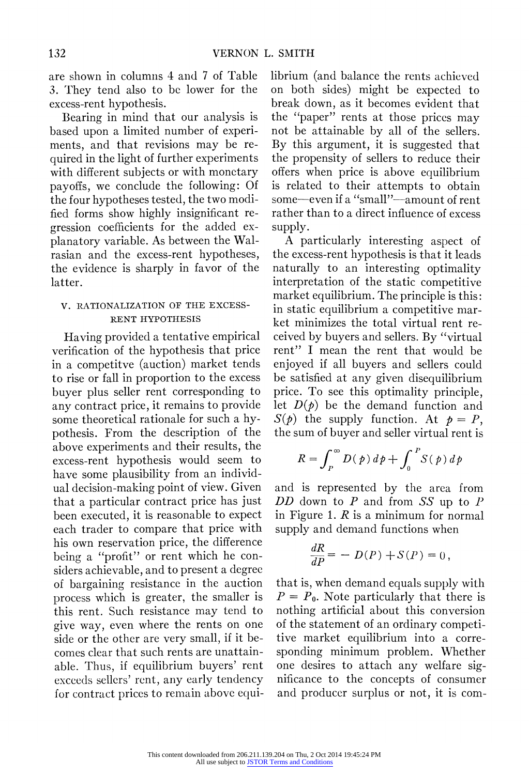**are shown in columns 4 anid 7 of Table 3. They tend also to be lower for the excess-rent hypothesis.** 

**Bearing in mind that our analysis is based upon a limited number of experiments, and that revisions may be required in the light of further experiments with different subjects or with monetary payoffs, we conclude the following: Of the four hypotheses tested, the two modified forms show highly insignificant regression coefficients for the added explanatory variable. As between the Walrasian and the excess-rent hypotheses, the evidence is sharply in favor of the latter.** 

#### **V. RATIONALIZATION OF THE EXCESS-RENT HYPOTHESIS**

Having provided a tentative empirical **verification of the hypothesis that price in a competitve (auction) market tends to rise or fall in proportion to the excess buyer plus seller rent corresponding to any contract price, it remains to provide some theoretical rationale for such a hypothesis. From the description of the above experiments and their results, the excess-rent hypothesis would seem to have some plausibility from an individual decision-making point of view. Given that a particular contract price has just been executed, it is reasonable to expect each trader to compare that price with his own reservation price, the difference**  being a "profit" or rent which he con**siders achievable, and to present a degree of bargaining resistance in the auction process which is greater, the smaller is this rent. Such resistance may tend to give way, even where the rents on one side or the other are very small, if it becomes clear that such rents are unattainable. Thus, if equilibrium buyers' rent**  exceeds sellers' rent, any early tendency **for contract prices to remain above equi-**

**librium (and balance the rents achieved on both sides) might be expected to break down, as it becomes evident that the "paper" rents at those prices may not be attainable by all of the sellers. By this argument, it is suggested that the propensity of sellers to reduce their offers when price is above equilibrium is related to their attempts to obtain**  some—even if a "small"—amount of rent **rather than to a direct influence of excess supply.** 

**A particularly interesting aspect of the excess-rent hypothesis is that it leads naturally to an interesting optimality interpretation of the static competitive market equilibrium. The principle is this: in static equilibrium a competitive market minimizes the total virtual rent received by buyers and sellers. By "virtual rent" I mean the rent that would be enjoyed if all buyers and sellers could be satisfied at any given disequilibrium price. To see this optimality principle,**  let  $D(\phi)$  be the demand function and  $S(p)$  the supply function. At  $p = P$ , **the sum of buyer and seller virtual rent is** 

$$
R = \int_{P}^{\infty} D(\,p) \, d\,p + \int_{0}^{P} S(\,p) \, d\,p
$$

**and is represented by the area from DD down to P and from SS up to P in Figure 1. R is a minimum for normal supply and demand functions when** 

$$
\frac{dR}{dP} = -D(P) + S(P) = 0,
$$

**that is, when demand equals supply with**   $P = P_0$ . Note particularly that there is **nothing artificial about this conversion of the statement of an ordinary competitive market equilibrium into a corresponding minimum problem. Whether one desires to attach any welfare significance to the concepts of consumer and producer surplus or not, it is com-**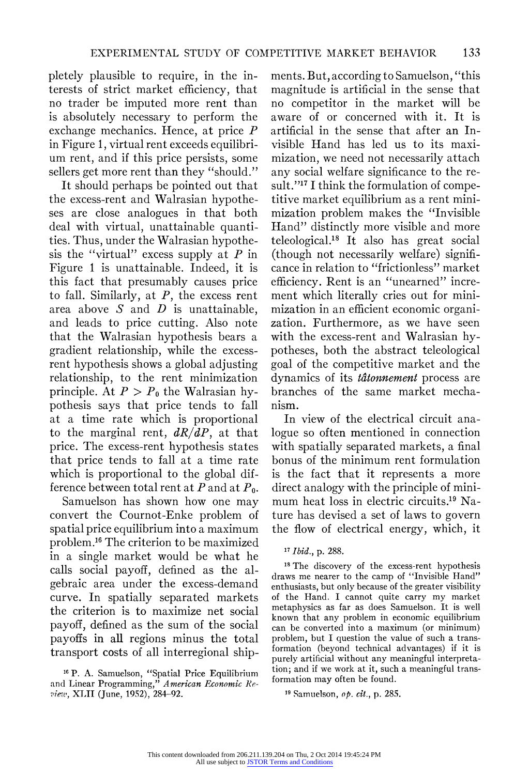**pletely plausible to require, in the interests of strict market efficiency, that no trader be imputed more rent than is absolutely necessary to perform the exchange mechanics. Hence, at price P in Figure 1, virtual rent exceeds equilibrium rent, and if this price persists, some sellers get more rent than they "should."** 

**It should perhaps be pointed out that the excess-rent and Walrasian hypotheses are close analogues in that both deal with virtual, unattainable quantities. Thus, under the Walrasian hypothesis the "virtual" excess supply at P in Figure 1 is unattainable. Indeed, it is this fact that presumably causes price to fall. Similarly, at P, the excess rent area above S and D is unattainable, and leads to price cutting. Also note that the Walrasian hypothesis bears a gradient relationship, while the excessrent hypothesis shows a global adjusting relationship, to the rent minimization**  principle. At  $P > P_0$  the Walrasian hy**pothesis says that price tends to fall at a time rate which is proportional to the marginal rent, dR/dP, at that price. The excess-rent hypothesis states that price tends to fall at a time rate which is proportional to the global dif**ference between total rent at  $P$  and at  $P_0$ .

**Samuelson has shown how one may convert the Cournot-Enke problem of spatial price equilibrium into a maximum problem."6 The criterion to be maximized in a single market would be what he calls social payoff, defined as the algebraic area under the excess-demand curve. In spatially separated markets the criterion is to maximize net social payoff, defined as the sum of the social payoffs in all regions minus the total transport costs of all interregional ship-** 

**ments. But, according to Samuelson, "this magnitude is artificial in the sense that no competitor in the market will be aware of or concerned with it. It is artificial in the sense that after an Invisible Hand has led us to its maximization, we need not necessarily attach any social welfare significance to the result.""7 I think the formulation of competitive market equilibrium as a rent minimization problem makes the "Invisible Hand" distinctly more visible and more teleological."8 It also has great social (though not necessarily welfare) significance in relation to "frictionless" market efficiency. Rent is an "unearned" increment which literally cries out for minimization in an efficient economic organization. Furthermore, as we have seen with the excess-rent and Walrasian hypotheses, both the abstract teleological goal of the competitive market and the dynamics of its tatonnement process are branches of the same market mechanism.** 

**In view of the electrical circuit analogue so often mentioned in connection with spatially separated markets, a final bonus of the minimum rent formulation is the fact that it represents a more direct analogy with the principle of minimum heat loss in electric circuits.19 Nature has devised a set of laws to govern the flow of electrical energy, which, it** 

**<sup>18</sup>The discovery of the excess-rent hypothesis draws me nearer to the camp of "Invisible Hand" enthusiasts, but only because of the greater visibility of the Hand. I cannot quite carry my market metaphysics as far as does Samuelson. It is well known that any problem in economic equilibrium can be converted into a maximum (or minimum) problem, but I question the value of such a transformation (beyond technical advantages) if it is purely artificial without any meaningful interpretation; and if we work at it, such a meaningful transformation may often be found.** 

**<sup>19</sup>Samuelson, op. cit., p. 285.** 

<sup>&</sup>lt;sup>16</sup> P. A. Samuelson, "Spatial Price Equilibrium and Linear Programming," American Economic Re $view$ , **XLII** (June, 1952), 284-92.

**<sup>17</sup>Ibid., p. 288.**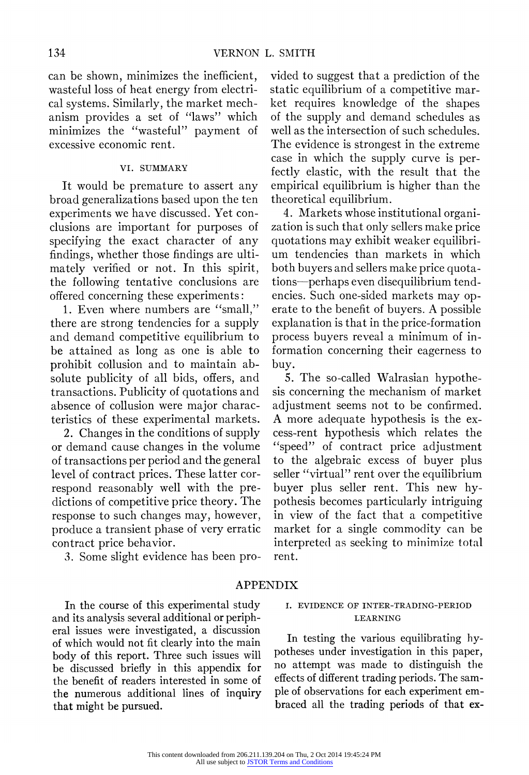**can be shown, minimizes the inefficient, wasteful loss of heat energy from electrical systems. Similarly, the market mechanism provides a set of "laws" which minimizes the "wasteful" payment of excessive economic rent.** 

#### **VI. SUMMARY**

**It would be premature to assert any broad generalizations based upon the ten experiments we have discussed. Yet conclusions are important for purposes of specifying the exact character of any findings, whether those findings are ultimately verified or not. In this spirit, the following tentative conclusions are offered concerning these experiments:** 

**1. Even where numbers are "small," there are strong tendencies for a supply and demand competitive equilibrium to be attained as long as one is able to prohibit collusion and to maintain absolute publicity of all bids, offers, and transactions. Publicity of quotations and absence of collusion were major characteristics of these experimental markets.** 

**2. Changes in the conditions of supply or demand cause changes in the volume of transactions per period and the general level of contract prices. These latter correspond reasonably well with the predictions of competitive price theory. The response to such changes may, however, produce a transient pbase of very erratic contract price behavior.** 

**3. Some slight evidence has been pro-**

**vided to suggest that a prediction of the static equilibrium of a competitive market requires knowledge of the shapes of the supply and demand schedules as well as the intersection of such schedules. The evidence is strongest in the extreme case in which the supply curve is perfectly elastic, with the result that the empirical equilibrium is higher than the theoretical equilibrium.** 

**4. Markets whose institutional organization is such that only sellers make price quotations may exhibit weaker equilibrium tendencies than markets in which both buyers and sellers make price quotations-perhaps even disequilibrium tendencies. Such one-sided markets may operate to the benefit of buyers. A possible explanation is that in the price-formation process buyers reveal a minimum of information concerning their eagerness to buy.** 

**5. The so-called Walrasian hypothesis concerning the mechanism of market adjustment seems not to be confirmed. A more adequate hypothesis is the excess-rent hypothesis which relates the "speed" of contract price adjustment to the algebraic excess of buyer plus seller "virtual" rent over the equilibrium buyer plus seller rent. This new hypothesis becomes particularly intriguing in view of the fact that a competitive market for a single commodity can be interpreted as seeking to minimize total rent.** 

#### **APPENDIX**

**In the course of this experimental study and its analysis several additional or peripheral issues were investigated, a discussion of which would not fit clearly into the main body of this report. Three such issues will be discussed briefly in this appendix for the benefit of readers interested in some of the numerous additional lines of inquiry that might be pursued.** 

#### **I. EVIDENCE OF INTER-TRADING-PERIOD LEARNING**

**In testing the various equilibrating hypotheses under investigation in this paper, no attempt was made to distinguish the effects of different trading periods. The sample of observations for each experiment embraced all the trading periods of that ex-**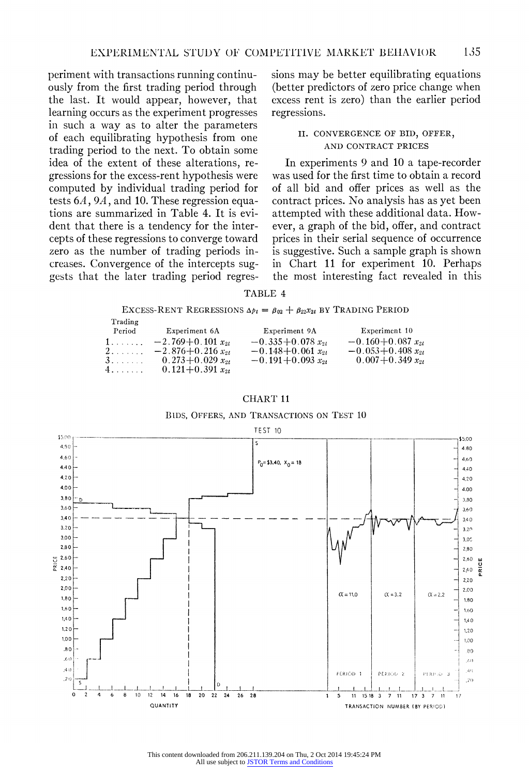periment with transactions running continuously from the first trading period through the last. It would appear, however, that learning occurs as the experiment progresses in such a way as to alter the parameters of each equilibrating hypothesis from one trading period to the next. To obtain some idea of the extent of these alterations, regressions for the excess-rent hypothesis were computed by individual trading period for tests  $6A$ ,  $9A$ , and 10. These regression equations are summarized in Table 4. It is evident that there is a tendency for the intercepts of these regressions to converge toward zero as the number of trading periods increases. Convergence of the intercepts suggests that the later trading period regressions may be better equilibrating equations (better predictors of zero price change when excess rent is zero) than the earlier period regressions.

#### II. CONVERGENCE OF BID, OFFER, AND CONTRACT PRICES

In experiments 9 and 10 a tape-recorder was used for the first time to obtain a record of all bid and offer prices as well as the contract prices. No analysis has as yet been attempted with these additional data. However, a graph of the bid, offer, and contract prices in their serial sequence of occurrence is suggestive. Such a sample graph is shown in Chart 11 for experiment 10. Perhaps the most interesting fact revealed in this

#### TABLE 4

#### EXCESS-RENT REGRESSIONS  $\Delta p_t = \beta_{02} + \beta_{22} x_{2t}$  by TRADING PERIOD Trading Period Experiment 10 Experiment 6A Experiment 9A  $-2.769 + 0.101 x_{21}$  $-0.335 + 0.078 x_{2}$  $-0.160 + 0.087 x_{2l}$ 1. . . . . . .  $-2.876 + 0.216 x_{2t}$  $-0.148 + 0.061 x_{2t}$  $-0.053 + 0.408 x_{2t}$ 2. . . . . . .  $3.1.1.1.1$  $0.273 + 0.029 x_{2t}$  $-0.191 + 0.093 x_{2t}$  $0.007 + 0.349 x_{2t}$ 4. . . . . . .  $0.121 + 0.391 x_{2t}$

#### **CHART 11**

#### BIDS, OFFERS, AND TRANSACTIONS ON TEST 10

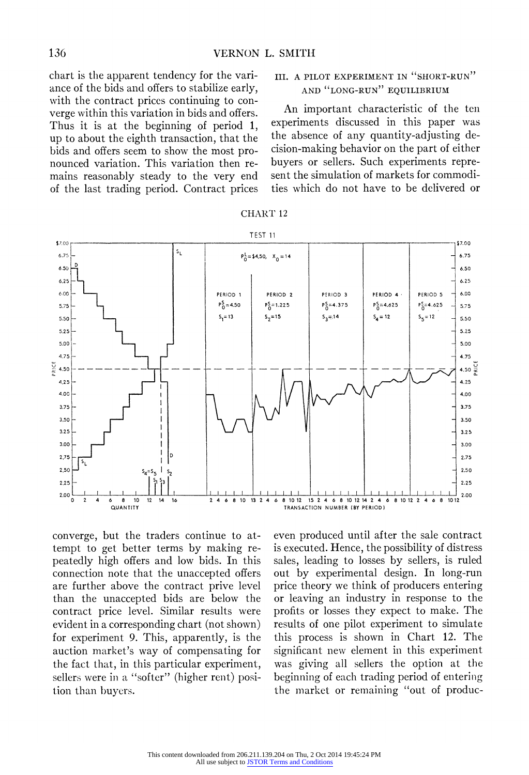**chart is the apparent tendency for the variance of the bids and offers to stabilize early, with the contract prices continuing to converge within this variation in bids and offers. Thus it is at the beginning of period 1, up to about the eighth transaction, that the bids and offers seem to show the most pronounced variation. This variation then remains reasonably steady to the very end of the last trading period. Contract prices** 

## **III. A PILOT EXPERIMENT IN "SHORT-RUN ) AND " LONG-RUN " EQUILIBRIUM**

An important characteristic of the ten **experiments discussed in this paper was the absence of any quantity-adjusting decision-making behavior on the part of either buyers or sellers. Such experiments represent the simulation of markets for commodities which do not have to be delivered or** 



#### **CHART' 12**

**converge, but the traders continue to attempt to get better terms by making repeatedly high offers and low bids. In this connection note that the unaccepted offers are further above the contract prive level than the unaccepted bids are below the contract price level. Similar results were evident in a corresponding chart (not shown) for experiment 9. This, apparently, is the auction marlket's way of compensating for the fact that, in this particular experiment,**  sellers were in a "softer" (higher rent) posi**tion than buyers.** 

**even produced until after the sale contract is executed. Hence, the possibility of distress sales, leading to losses by sellers, is ruled out by experimental design. In long-run price theory we think of producers entering or leaving an industry in response to the profits or losses they expect to make. The results of one pilot experiment to simulate this process is shown in Chart 12. The significant new element in this experiment was giving all sellers the option at the**  beginning of each trading period of entering the market or remaining "out of produc